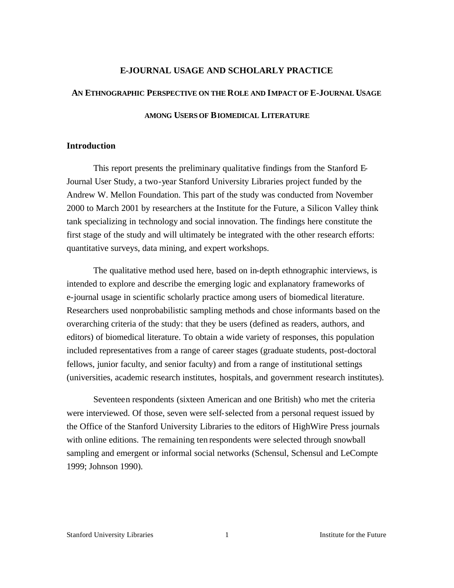#### **E-JOURNAL USAGE AND SCHOLARLY PRACTICE**

## **AN ETHNOGRAPHIC PERSPECTIVE ON THE ROLE AND IMPACT OF E-JOURNAL USAGE**

## **AMONG USERS OF BIOMEDICAL LITERATURE**

## **Introduction**

This report presents the preliminary qualitative findings from the Stanford E-Journal User Study, a two-year Stanford University Libraries project funded by the Andrew W. Mellon Foundation. This part of the study was conducted from November 2000 to March 2001 by researchers at the Institute for the Future, a Silicon Valley think tank specializing in technology and social innovation. The findings here constitute the first stage of the study and will ultimately be integrated with the other research efforts: quantitative surveys, data mining, and expert workshops.

The qualitative method used here, based on in-depth ethnographic interviews, is intended to explore and describe the emerging logic and explanatory frameworks of e-journal usage in scientific scholarly practice among users of biomedical literature. Researchers used nonprobabilistic sampling methods and chose informants based on the overarching criteria of the study: that they be users (defined as readers, authors, and editors) of biomedical literature. To obtain a wide variety of responses, this population included representatives from a range of career stages (graduate students, post-doctoral fellows, junior faculty, and senior faculty) and from a range of institutional settings (universities, academic research institutes, hospitals, and government research institutes).

Seventeen respondents (sixteen American and one British) who met the criteria were interviewed. Of those, seven were self-selected from a personal request issued by the Office of the Stanford University Libraries to the editors of HighWire Press journals with online editions. The remaining ten respondents were selected through snowball sampling and emergent or informal social networks (Schensul, Schensul and LeCompte 1999; Johnson 1990).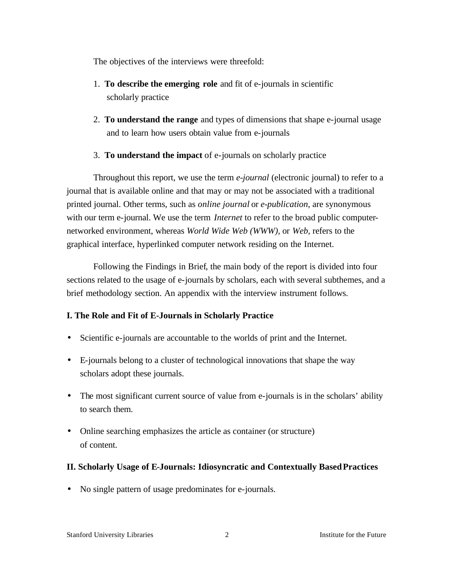The objectives of the interviews were threefold:

- 1. **To describe the emerging role** and fit of e-journals in scientific scholarly practice
- 2. **To understand the range** and types of dimensions that shape e-journal usage and to learn how users obtain value from e-journals
- 3. **To understand the impact** of e-journals on scholarly practice

Throughout this report, we use the term *e-journal* (electronic journal) to refer to a journal that is available online and that may or may not be associated with a traditional printed journal. Other terms, such as *online journal* or *e-publication,* are synonymous with our term e-journal. We use the term *Internet* to refer to the broad public computernetworked environment, whereas *World Wide Web (WWW),* or *Web,* refers to the graphical interface, hyperlinked computer network residing on the Internet.

Following the Findings in Brief, the main body of the report is divided into four sections related to the usage of e-journals by scholars, each with several subthemes, and a brief methodology section. An appendix with the interview instrument follows.

## **I. The Role and Fit of E-Journals in Scholarly Practice**

- Scientific e-journals are accountable to the worlds of print and the Internet.
- E-journals belong to a cluster of technological innovations that shape the way scholars adopt these journals.
- The most significant current source of value from e-journals is in the scholars' ability to search them.
- Online searching emphasizes the article as container (or structure) of content.

## **II. Scholarly Usage of E-Journals: Idiosyncratic and Contextually Based Practices**

• No single pattern of usage predominates for e-journals.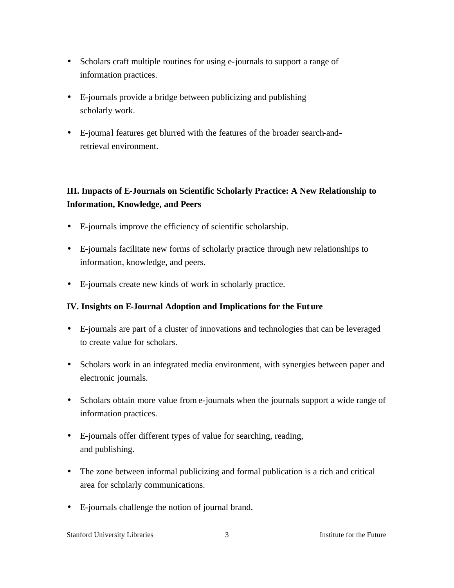- Scholars craft multiple routines for using e-journals to support a range of information practices.
- E-journals provide a bridge between publicizing and publishing scholarly work.
- E-journal features get blurred with the features of the broader search-andretrieval environment.

# **III. Impacts of E-Journals on Scientific Scholarly Practice: A New Relationship to Information, Knowledge, and Peers**

- E-journals improve the efficiency of scientific scholarship.
- E-journals facilitate new forms of scholarly practice through new relationships to information, knowledge, and peers.
- E-journals create new kinds of work in scholarly practice.

## **IV. Insights on E-Journal Adoption and Implications for the Future**

- E-journals are part of a cluster of innovations and technologies that can be leveraged to create value for scholars.
- Scholars work in an integrated media environment, with synergies between paper and electronic journals.
- Scholars obtain more value from e-journals when the journals support a wide range of information practices.
- E-journals offer different types of value for searching, reading, and publishing.
- The zone between informal publicizing and formal publication is a rich and critical area for scholarly communications.
- E-journals challenge the notion of journal brand.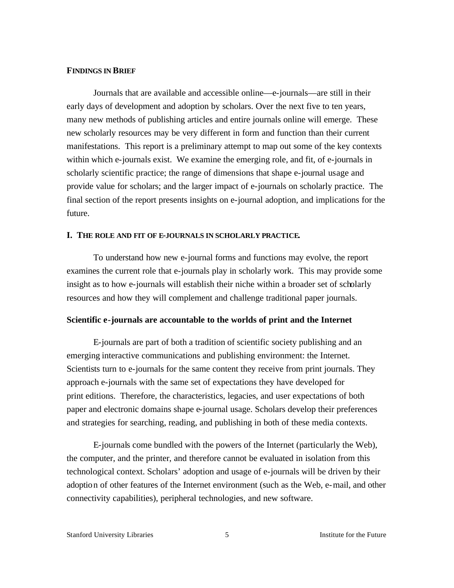#### **FINDINGS IN BRIEF**

Journals that are available and accessible online—e-journals—are still in their early days of development and adoption by scholars. Over the next five to ten years, many new methods of publishing articles and entire journals online will emerge. These new scholarly resources may be very different in form and function than their current manifestations. This report is a preliminary attempt to map out some of the key contexts within which e-journals exist. We examine the emerging role, and fit, of e-journals in scholarly scientific practice; the range of dimensions that shape e-journal usage and provide value for scholars; and the larger impact of e-journals on scholarly practice. The final section of the report presents insights on e-journal adoption, and implications for the future.

#### **I. THE ROLE AND FIT OF E-JOURNALS IN SCHOLARLY PRACTICE.**

To understand how new e-journal forms and functions may evolve, the report examines the current role that e-journals play in scholarly work. This may provide some insight as to how e-journals will establish their niche within a broader set of scholarly resources and how they will complement and challenge traditional paper journals.

## **Scientific e-journals are accountable to the worlds of print and the Internet**

E-journals are part of both a tradition of scientific society publishing and an emerging interactive communications and publishing environment: the Internet. Scientists turn to e-journals for the same content they receive from print journals. They approach e-journals with the same set of expectations they have developed for print editions. Therefore, the characteristics, legacies, and user expectations of both paper and electronic domains shape e-journal usage. Scholars develop their preferences and strategies for searching, reading, and publishing in both of these media contexts.

E-journals come bundled with the powers of the Internet (particularly the Web), the computer, and the printer, and therefore cannot be evaluated in isolation from this technological context. Scholars' adoption and usage of e-journals will be driven by their adoption of other features of the Internet environment (such as the Web, e-mail, and other connectivity capabilities), peripheral technologies, and new software.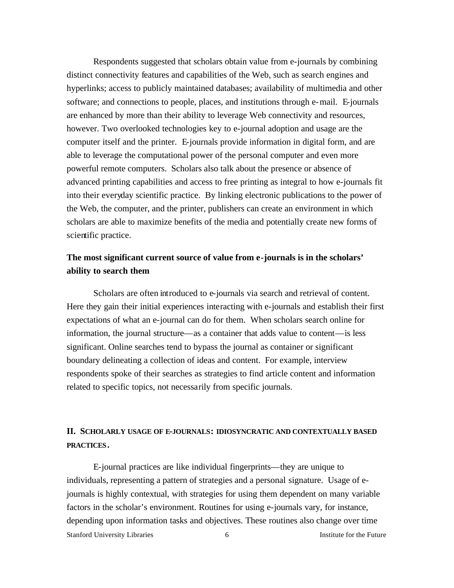Respondents suggested that scholars obtain value from e-journals by combining distinct connectivity features and capabilities of the Web, such as search engines and hyperlinks; access to publicly maintained databases; availability of multimedia and other software; and connections to people, places, and institutions through e-mail. E-journals are enhanced by more than their ability to leverage Web connectivity and resources, however. Two overlooked technologies key to e-journal adoption and usage are the computer itself and the printer. E-journals provide information in digital form, and are able to leverage the computational power of the personal computer and even more powerful remote computers. Scholars also talk about the presence or absence of advanced printing capabilities and access to free printing as integral to how e-journals fit into their everyday scientific practice. By linking electronic publications to the power of the Web, the computer, and the printer, publishers can create an environment in which scholars are able to maximize benefits of the media and potentially create new forms of scientific practice.

## **The most significant current source of value from e-journals is in the scholars' ability to search them**

Scholars are often introduced to e-journals via search and retrieval of content. Here they gain their initial experiences interacting with e-journals and establish their first expectations of what an e-journal can do for them. When scholars search online for information, the journal structure—as a container that adds value to content—is less significant. Online searches tend to bypass the journal as container or significant boundary delineating a collection of ideas and content. For example, interview respondents spoke of their searches as strategies to find article content and information related to specific topics, not necessarily from specific journals.

## **II. SCHOLARLY USAGE OF E-JOURNALS: IDIOSYNCRATIC AND CONTEXTUALLY BASED PRACTICES.**

Stanford University Libraries 6 100 m 6 10 m institute for the Future future for the Future of the Future 1 E-journal practices are like individual fingerprints—they are unique to individuals, representing a pattern of strategies and a personal signature. Usage of ejournals is highly contextual, with strategies for using them dependent on many variable factors in the scholar's environment. Routines for using e-journals vary, for instance, depending upon information tasks and objectives. These routines also change over time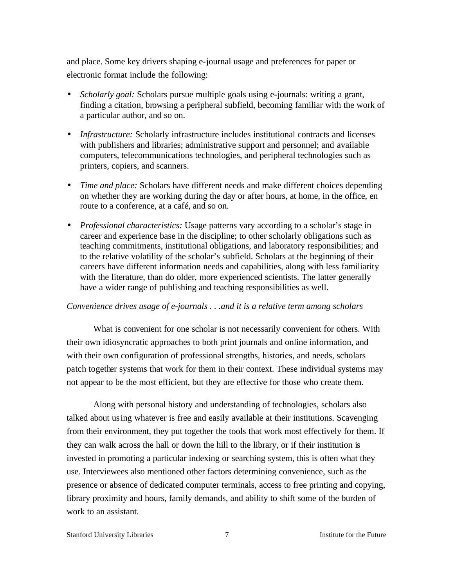and place. Some key drivers shaping e-journal usage and preferences for paper or electronic format include the following:

- *Scholarly goal:* Scholars pursue multiple goals using e-journals: writing a grant, finding a citation, browsing a peripheral subfield, becoming familiar with the work of a particular author, and so on.
- *Infrastructure:* Scholarly infrastructure includes institutional contracts and licenses with publishers and libraries; administrative support and personnel; and available computers, telecommunications technologies, and peripheral technologies such as printers, copiers, and scanners.
- *Time and place:* Scholars have different needs and make different choices depending on whether they are working during the day or after hours, at home, in the office, en route to a conference, at a café, and so on.
- *Professional characteristics:* Usage patterns vary according to a scholar's stage in career and experience base in the discipline; to other scholarly obligations such as teaching commitments, institutional obligations, and laboratory responsibilities; and to the relative volatility of the scholar's subfield. Scholars at the beginning of their careers have different information needs and capabilities, along with less familiarity with the literature, than do older, more experienced scientists. The latter generally have a wider range of publishing and teaching responsibilities as well.

## *Convenience drives usage of e-journals . . .and it is a relative term among scholars*

What is convenient for one scholar is not necessarily convenient for others. With their own idiosyncratic approaches to both print journals and online information, and with their own configuration of professional strengths, histories, and needs, scholars patch together systems that work for them in their context. These individual systems may not appear to be the most efficient, but they are effective for those who create them.

Along with personal history and understanding of technologies, scholars also talked about using whatever is free and easily available at their institutions. Scavenging from their environment, they put together the tools that work most effectively for them. If they can walk across the hall or down the hill to the library, or if their institution is invested in promoting a particular indexing or searching system, this is often what they use. Interviewees also mentioned other factors determining convenience, such as the presence or absence of dedicated computer terminals, access to free printing and copying, library proximity and hours, family demands, and ability to shift some of the burden of work to an assistant.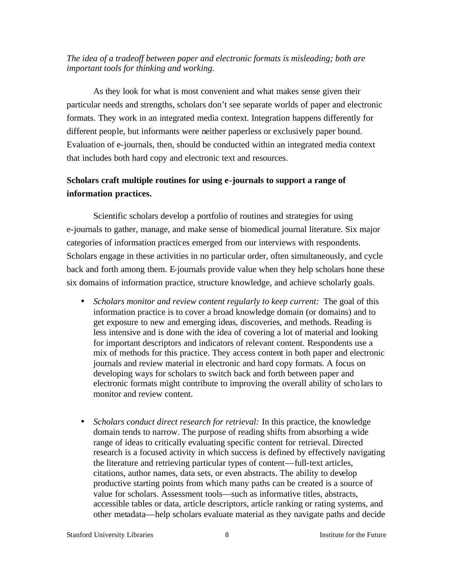## *The idea of a tradeoff between paper and electronic formats is misleading; both are important tools for thinking and working.*

As they look for what is most convenient and what makes sense given their particular needs and strengths, scholars don't see separate worlds of paper and electronic formats. They work in an integrated media context. Integration happens differently for different people, but informants were neither paperless or exclusively paper bound. Evaluation of e-journals, then, should be conducted within an integrated media context that includes both hard copy and electronic text and resources.

# **Scholars craft multiple routines for using e-journals to support a range of information practices.**

Scientific scholars develop a portfolio of routines and strategies for using e-journals to gather, manage, and make sense of biomedical journal literature. Six major categories of information practices emerged from our interviews with respondents. Scholars engage in these activities in no particular order, often simultaneously, and cycle back and forth among them. E-journals provide value when they help scholars hone these six domains of information practice, structure knowledge, and achieve scholarly goals.

- *Scholars monitor and review content regularly to keep current:* The goal of this information practice is to cover a broad knowledge domain (or domains) and to get exposure to new and emerging ideas, discoveries, and methods. Reading is less intensive and is done with the idea of covering a lot of material and looking for important descriptors and indicators of relevant content. Respondents use a mix of methods for this practice. They access content in both paper and electronic journals and review material in electronic and hard copy formats. A focus on developing ways for scholars to switch back and forth between paper and electronic formats might contribute to improving the overall ability of scholars to monitor and review content.
- *Scholars conduct direct research for retrieval:* In this practice, the knowledge domain tends to narrow. The purpose of reading shifts from absorbing a wide range of ideas to critically evaluating specific content for retrieval. Directed research is a focused activity in which success is defined by effectively navigating the literature and retrieving particular types of content—full-text articles, citations, author names, data sets, or even abstracts. The ability to develop productive starting points from which many paths can be created is a source of value for scholars. Assessment tools—such as informative titles, abstracts, accessible tables or data, article descriptors, article ranking or rating systems, and other metadata—help scholars evaluate material as they navigate paths and decide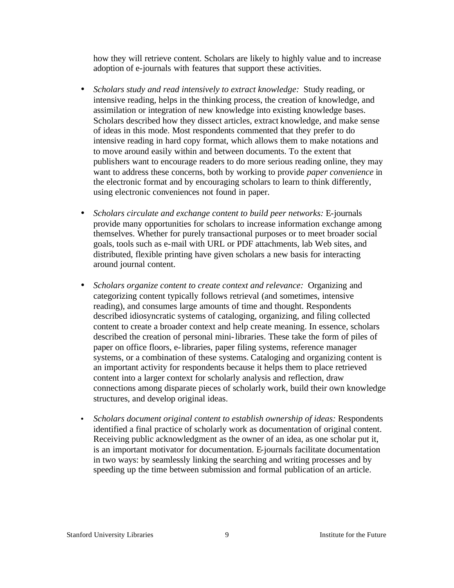how they will retrieve content. Scholars are likely to highly value and to increase adoption of e-journals with features that support these activities.

- *Scholars study and read intensively to extract knowledge:* Study reading, or intensive reading, helps in the thinking process, the creation of knowledge, and assimilation or integration of new knowledge into existing knowledge bases. Scholars described how they dissect articles, extract knowledge, and make sense of ideas in this mode. Most respondents commented that they prefer to do intensive reading in hard copy format, which allows them to make notations and to move around easily within and between documents. To the extent that publishers want to encourage readers to do more serious reading online, they may want to address these concerns, both by working to provide *paper convenience* in the electronic format and by encouraging scholars to learn to think differently, using electronic conveniences not found in paper.
- *Scholars circulate and exchange content to build peer networks:* E-journals provide many opportunities for scholars to increase information exchange among themselves. Whether for purely transactional purposes or to meet broader social goals, tools such as e-mail with URL or PDF attachments, lab Web sites, and distributed, flexible printing have given scholars a new basis for interacting around journal content.
- *Scholars organize content to create context and relevance:* Organizing and categorizing content typically follows retrieval (and sometimes, intensive reading), and consumes large amounts of time and thought. Respondents described idiosyncratic systems of cataloging, organizing, and filing collected content to create a broader context and help create meaning. In essence, scholars described the creation of personal mini-libraries. These take the form of piles of paper on office floors, e-libraries, paper filing systems, reference manager systems, or a combination of these systems. Cataloging and organizing content is an important activity for respondents because it helps them to place retrieved content into a larger context for scholarly analysis and reflection, draw connections among disparate pieces of scholarly work, build their own knowledge structures, and develop original ideas.
- *Scholars document original content to establish ownership of ideas:* Respondents identified a final practice of scholarly work as documentation of original content. Receiving public acknowledgment as the owner of an idea, as one scholar put it, is an important motivator for documentation. E-journals facilitate documentation in two ways: by seamlessly linking the searching and writing processes and by speeding up the time between submission and formal publication of an article.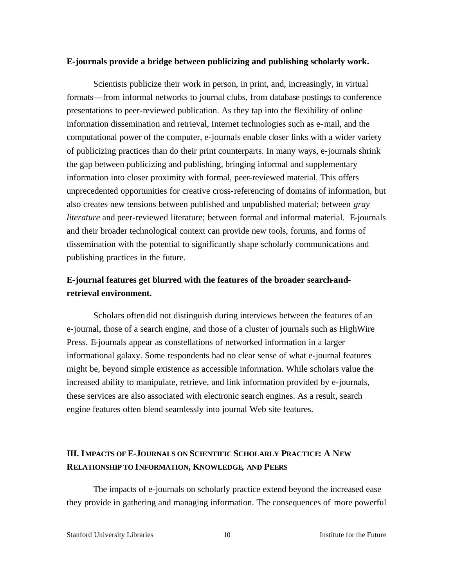#### **E-journals provide a bridge between publicizing and publishing scholarly work.**

Scientists publicize their work in person, in print, and, increasingly, in virtual formats—from informal networks to journal clubs, from database postings to conference presentations to peer-reviewed publication. As they tap into the flexibility of online information dissemination and retrieval, Internet technologies such as e-mail, and the computational power of the computer, e-journals enable closer links with a wider variety of publicizing practices than do their print counterparts. In many ways, e-journals shrink the gap between publicizing and publishing, bringing informal and supplementary information into closer proximity with formal, peer-reviewed material. This offers unprecedented opportunities for creative cross-referencing of domains of information, but also creates new tensions between published and unpublished material; between *gray literature* and peer-reviewed literature; between formal and informal material. E-journals and their broader technological context can provide new tools, forums, and forms of dissemination with the potential to significantly shape scholarly communications and publishing practices in the future.

## **E-journal features get blurred with the features of the broader search-andretrieval environment.**

Scholars often did not distinguish during interviews between the features of an e-journal, those of a search engine, and those of a cluster of journals such as HighWire Press. E-journals appear as constellations of networked information in a larger informational galaxy. Some respondents had no clear sense of what e-journal features might be, beyond simple existence as accessible information. While scholars value the increased ability to manipulate, retrieve, and link information provided by e-journals, these services are also associated with electronic search engines. As a result, search engine features often blend seamlessly into journal Web site features.

# **III. IMPACTS OF E-JOURNALS ON SCIENTIFIC SCHOLARLY PRACTICE: A NEW RELATIONSHIP TO INFORMATION, KNOWLEDGE, AND PEERS**

The impacts of e-journals on scholarly practice extend beyond the increased ease they provide in gathering and managing information. The consequences of more powerful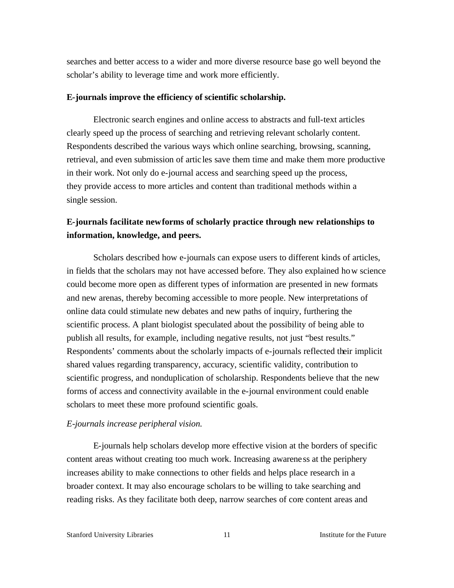searches and better access to a wider and more diverse resource base go well beyond the scholar's ability to leverage time and work more efficiently.

## **E-journals improve the efficiency of scientific scholarship.**

Electronic search engines and online access to abstracts and full-text articles clearly speed up the process of searching and retrieving relevant scholarly content. Respondents described the various ways which online searching, browsing, scanning, retrieval, and even submission of artic les save them time and make them more productive in their work. Not only do e-journal access and searching speed up the process, they provide access to more articles and content than traditional methods within a single session.

# **E-journals facilitate new forms of scholarly practice through new relationships to information, knowledge, and peers.**

Scholars described how e-journals can expose users to different kinds of articles, in fields that the scholars may not have accessed before. They also explained how science could become more open as different types of information are presented in new formats and new arenas, thereby becoming accessible to more people. New interpretations of online data could stimulate new debates and new paths of inquiry, furthering the scientific process. A plant biologist speculated about the possibility of being able to publish all results, for example, including negative results, not just "best results." Respondents' comments about the scholarly impacts of e-journals reflected their implicit shared values regarding transparency, accuracy, scientific validity, contribution to scientific progress, and nonduplication of scholarship. Respondents believe that the new forms of access and connectivity available in the e-journal environment could enable scholars to meet these more profound scientific goals.

## *E-journals increase peripheral vision.*

E-journals help scholars develop more effective vision at the borders of specific content areas without creating too much work. Increasing awarene ss at the periphery increases ability to make connections to other fields and helps place research in a broader context. It may also encourage scholars to be willing to take searching and reading risks. As they facilitate both deep, narrow searches of core content areas and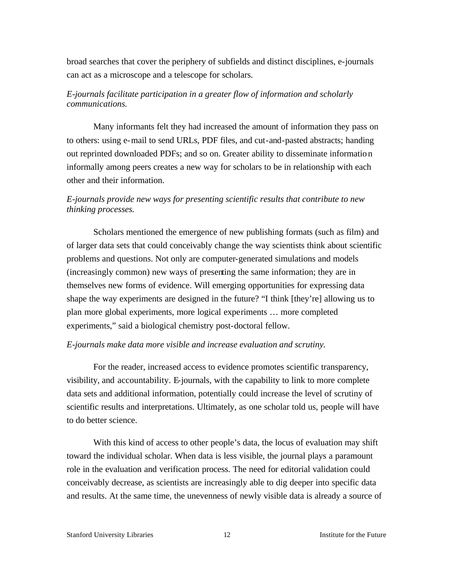broad searches that cover the periphery of subfields and distinct disciplines, e-journals can act as a microscope and a telescope for scholars.

## *E-journals facilitate participation in a greater flow of information and scholarly communications.*

Many informants felt they had increased the amount of information they pass on to others: using e-mail to send URLs, PDF files, and cut-and-pasted abstracts; handing out reprinted downloaded PDFs; and so on. Greater ability to disseminate information informally among peers creates a new way for scholars to be in relationship with each other and their information.

## *E-journals provide new ways for presenting scientific results that contribute to new thinking processes.*

Scholars mentioned the emergence of new publishing formats (such as film) and of larger data sets that could conceivably change the way scientists think about scientific problems and questions. Not only are computer-generated simulations and models (increasingly common) new ways of presenting the same information; they are in themselves new forms of evidence. Will emerging opportunities for expressing data shape the way experiments are designed in the future? "I think [they're] allowing us to plan more global experiments, more logical experiments … more completed experiments," said a biological chemistry post-doctoral fellow.

## *E-journals make data more visible and increase evaluation and scrutiny.*

For the reader, increased access to evidence promotes scientific transparency, visibility, and accountability. E-journals, with the capability to link to more complete data sets and additional information, potentially could increase the level of scrutiny of scientific results and interpretations. Ultimately, as one scholar told us, people will have to do better science.

With this kind of access to other people's data, the locus of evaluation may shift toward the individual scholar. When data is less visible, the journal plays a paramount role in the evaluation and verification process. The need for editorial validation could conceivably decrease, as scientists are increasingly able to dig deeper into specific data and results. At the same time, the unevenness of newly visible data is already a source of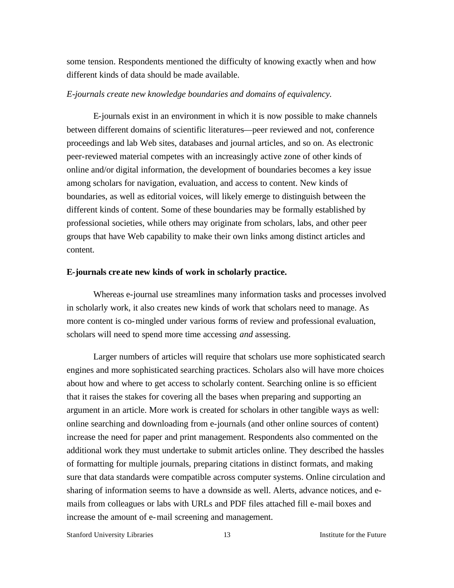some tension. Respondents mentioned the difficulty of knowing exactly when and how different kinds of data should be made available.

## *E-journals create new knowledge boundaries and domains of equivalency.*

E-journals exist in an environment in which it is now possible to make channels between different domains of scientific literatures—peer reviewed and not, conference proceedings and lab Web sites, databases and journal articles, and so on. As electronic peer-reviewed material competes with an increasingly active zone of other kinds of online and/or digital information, the development of boundaries becomes a key issue among scholars for navigation, evaluation, and access to content. New kinds of boundaries, as well as editorial voices, will likely emerge to distinguish between the different kinds of content. Some of these boundaries may be formally established by professional societies, while others may originate from scholars, labs, and other peer groups that have Web capability to make their own links among distinct articles and content.

#### **E-journals create new kinds of work in scholarly practice.**

Whereas e-journal use streamlines many information tasks and processes involved in scholarly work, it also creates new kinds of work that scholars need to manage. As more content is co-mingled under various forms of review and professional evaluation, scholars will need to spend more time accessing *and* assessing.

Larger numbers of articles will require that scholars use more sophisticated search engines and more sophisticated searching practices. Scholars also will have more choices about how and where to get access to scholarly content. Searching online is so efficient that it raises the stakes for covering all the bases when preparing and supporting an argument in an article. More work is created for scholars in other tangible ways as well: online searching and downloading from e-journals (and other online sources of content) increase the need for paper and print management. Respondents also commented on the additional work they must undertake to submit articles online. They described the hassles of formatting for multiple journals, preparing citations in distinct formats, and making sure that data standards were compatible across computer systems. Online circulation and sharing of information seems to have a downside as well. Alerts, advance notices, and emails from colleagues or labs with URLs and PDF files attached fill e-mail boxes and increase the amount of e-mail screening and management.

Stanford University Libraries 13 13 Institute for the Future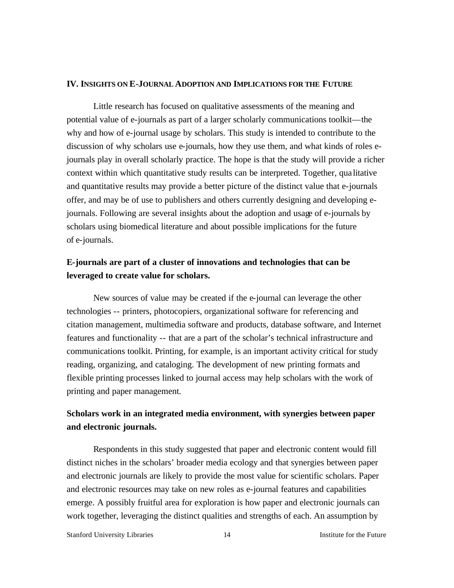## **IV. INSIGHTS ON E-JOURNAL ADOPTION AND IMPLICATIONS FOR THE FUTURE**

Little research has focused on qualitative assessments of the meaning and potential value of e-journals as part of a larger scholarly communications toolkit—the why and how of e-journal usage by scholars. This study is intended to contribute to the discussion of why scholars use e-journals, how they use them, and what kinds of roles ejournals play in overall scholarly practice. The hope is that the study will provide a richer context within which quantitative study results can be interpreted. Together, qua litative and quantitative results may provide a better picture of the distinct value that e-journals offer, and may be of use to publishers and others currently designing and developing ejournals. Following are several insights about the adoption and usage of e-journals by scholars using biomedical literature and about possible implications for the future of e-journals.

## **E-journals are part of a cluster of innovations and technologies that can be leveraged to create value for scholars.**

New sources of value may be created if the e-journal can leverage the other technologies -- printers, photocopiers, organizational software for referencing and citation management, multimedia software and products, database software, and Internet features and functionality -- that are a part of the scholar's technical infrastructure and communications toolkit. Printing, for example, is an important activity critical for study reading, organizing, and cataloging. The development of new printing formats and flexible printing processes linked to journal access may help scholars with the work of printing and paper management.

# **Scholars work in an integrated media environment, with synergies between paper and electronic journals.**

Respondents in this study suggested that paper and electronic content would fill distinct niches in the scholars' broader media ecology and that synergies between paper and electronic journals are likely to provide the most value for scientific scholars. Paper and electronic resources may take on new roles as e-journal features and capabilities emerge. A possibly fruitful area for exploration is how paper and electronic journals can work together, leveraging the distinct qualities and strengths of each. An assumption by

Stanford University Libraries 14 14 Institute for the Future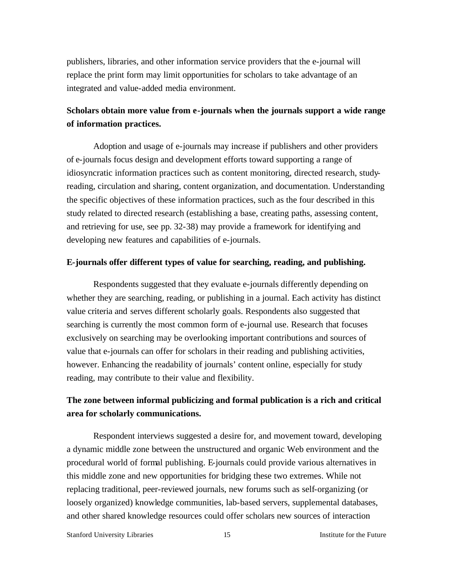publishers, libraries, and other information service providers that the e-journal will replace the print form may limit opportunities for scholars to take advantage of an integrated and value-added media environment.

# **Scholars obtain more value from e-journals when the journals support a wide range of information practices.**

Adoption and usage of e-journals may increase if publishers and other providers of e-journals focus design and development efforts toward supporting a range of idiosyncratic information practices such as content monitoring, directed research, studyreading, circulation and sharing, content organization, and documentation. Understanding the specific objectives of these information practices, such as the four described in this study related to directed research (establishing a base, creating paths, assessing content, and retrieving for use, see pp. 32-38) may provide a framework for identifying and developing new features and capabilities of e-journals.

## **E-journals offer different types of value for searching, reading, and publishing.**

Respondents suggested that they evaluate e-journals differently depending on whether they are searching, reading, or publishing in a journal. Each activity has distinct value criteria and serves different scholarly goals. Respondents also suggested that searching is currently the most common form of e-journal use. Research that focuses exclusively on searching may be overlooking important contributions and sources of value that e-journals can offer for scholars in their reading and publishing activities, however. Enhancing the readability of journals' content online, especially for study reading, may contribute to their value and flexibility.

# **The zone between informal publicizing and formal publication is a rich and critical area for scholarly communications.**

Respondent interviews suggested a desire for, and movement toward, developing a dynamic middle zone between the unstructured and organic Web environment and the procedural world of formal publishing. E-journals could provide various alternatives in this middle zone and new opportunities for bridging these two extremes. While not replacing traditional, peer-reviewed journals, new forums such as self-organizing (or loosely organized) knowledge communities, lab-based servers, supplemental databases, and other shared knowledge resources could offer scholars new sources of interaction

Stanford University Libraries 15 15 Institute for the Future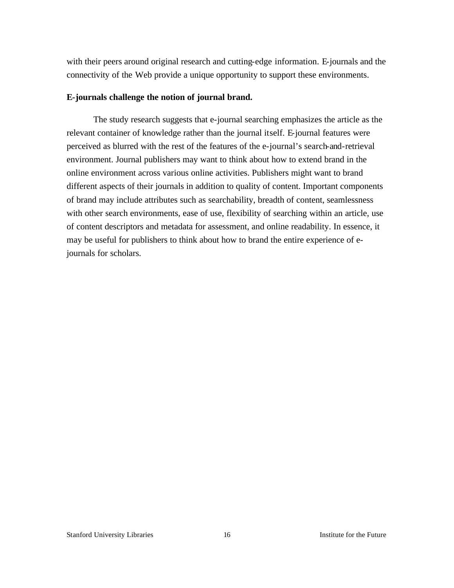with their peers around original research and cutting-edge information. E-journals and the connectivity of the Web provide a unique opportunity to support these environments.

## **E-journals challenge the notion of journal brand.**

The study research suggests that e-journal searching emphasizes the article as the relevant container of knowledge rather than the journal itself. E-journal features were perceived as blurred with the rest of the features of the e-journal's search-and-retrieval environment. Journal publishers may want to think about how to extend brand in the online environment across various online activities. Publishers might want to brand different aspects of their journals in addition to quality of content. Important components of brand may include attributes such as searchability, breadth of content, seamlessness with other search environments, ease of use, flexibility of searching within an article, use of content descriptors and metadata for assessment, and online readability. In essence, it may be useful for publishers to think about how to brand the entire experience of ejournals for scholars.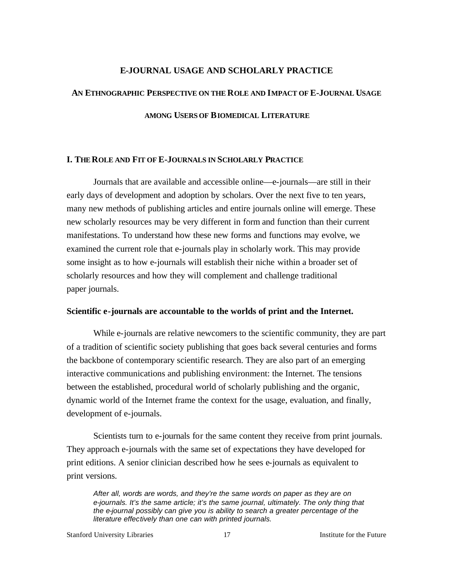## **E-JOURNAL USAGE AND SCHOLARLY PRACTICE**

# **AN ETHNOGRAPHIC PERSPECTIVE ON THE ROLE AND IMPACT OF E-JOURNAL USAGE AMONG USERS OF BIOMEDICAL LITERATURE**

## **I. THE ROLE AND FIT OF E-JOURNALS IN SCHOLARLY PRACTICE**

Journals that are available and accessible online—e-journals—are still in their early days of development and adoption by scholars. Over the next five to ten years, many new methods of publishing articles and entire journals online will emerge. These new scholarly resources may be very different in form and function than their current manifestations. To understand how these new forms and functions may evolve, we examined the current role that e-journals play in scholarly work. This may provide some insight as to how e-journals will establish their niche within a broader set of scholarly resources and how they will complement and challenge traditional paper journals.

#### **Scientific e-journals are accountable to the worlds of print and the Internet.**

While e-journals are relative newcomers to the scientific community, they are part of a tradition of scientific society publishing that goes back several centuries and forms the backbone of contemporary scientific research. They are also part of an emerging interactive communications and publishing environment: the Internet. The tensions between the established, procedural world of scholarly publishing and the organic, dynamic world of the Internet frame the context for the usage, evaluation, and finally, development of e-journals.

Scientists turn to e-journals for the same content they receive from print journals. They approach e-journals with the same set of expectations they have developed for print editions. A senior clinician described how he sees e-journals as equivalent to print versions.

*After all, words are words, and they're the same words on paper as they are on e-journals. It's the same article; it's the same journal, ultimately. The only thing that the e-journal possibly can give you is ability to search a greater percentage of the literature effectively than one can with printed journals.* 

Stanford University Libraries 17 17 1.1 Institute for the Future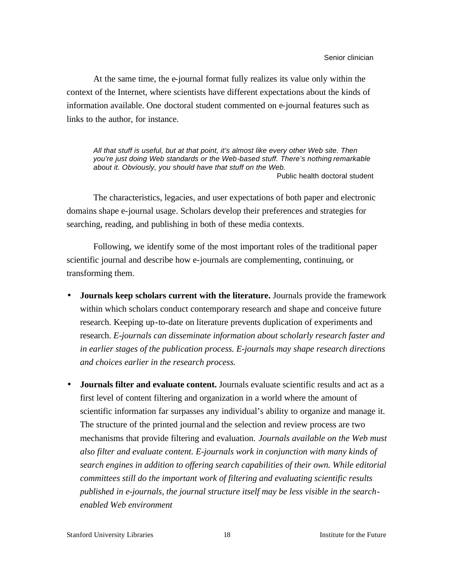At the same time, the e-journal format fully realizes its value only within the context of the Internet, where scientists have different expectations about the kinds of information available. One doctoral student commented on e-journal features such as links to the author, for instance.

*All that stuff is useful, but at that point, it's almost like every other Web site. Then you're just doing Web standards or the Web-based stuff. There's nothing remarkable about it. Obviously, you should have that stuff on the Web.* Public health doctoral student

The characteristics, legacies, and user expectations of both paper and electronic domains shape e-journal usage. Scholars develop their preferences and strategies for searching, reading, and publishing in both of these media contexts.

Following, we identify some of the most important roles of the traditional paper scientific journal and describe how e-journals are complementing, continuing, or transforming them.

- **Journals keep scholars current with the literature.** Journals provide the framework within which scholars conduct contemporary research and shape and conceive future research. Keeping up-to-date on literature prevents duplication of experiments and research. *E-journals can disseminate information about scholarly research faster and in earlier stages of the publication process. E-journals may shape research directions and choices earlier in the research process.*
- **Journals filter and evaluate content.** Journals evaluate scientific results and act as a first level of content filtering and organization in a world where the amount of scientific information far surpasses any individual's ability to organize and manage it. The structure of the printed journal and the selection and review process are two mechanisms that provide filtering and evaluation. *Journals available on the Web must also filter and evaluate content. E-journals work in conjunction with many kinds of search engines in addition to offering search capabilities of their own. While editorial committees still do the important work of filtering and evaluating scientific results published in e-journals, the journal structure itself may be less visible in the searchenabled Web environment*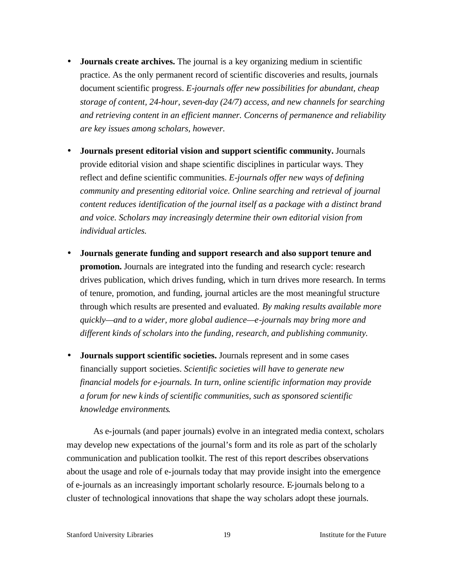- **Journals create archives.** The journal is a key organizing medium in scientific practice. As the only permanent record of scientific discoveries and results, journals document scientific progress. *E-journals offer new possibilities for abundant, cheap storage of content, 24-hour, seven-day (24/7) access, and new channels for searching and retrieving content in an efficient manner. Concerns of permanence and reliability are key issues among scholars, however.*
- **Journals present editorial vision and support scientific community.** Journals provide editorial vision and shape scientific disciplines in particular ways. They reflect and define scientific communities. *E-journals offer new ways of defining community and presenting editorial voice. Online searching and retrieval of journal content reduces identification of the journal itself as a package with a distinct brand and voice. Scholars may increasingly determine their own editorial vision from individual articles.*
- **Journals generate funding and support research and also support tenure and promotion.** Journals are integrated into the funding and research cycle: research drives publication, which drives funding, which in turn drives more research. In terms of tenure, promotion, and funding, journal articles are the most meaningful structure through which results are presented and evaluated. *By making results available more quickly—and to a wider, more global audience—e-journals may bring more and different kinds of scholars into the funding, research, and publishing community.*
- **Journals support scientific societies.** Journals represent and in some cases financially support societies. *Scientific societies will have to generate new financial models for e-journals. In turn, online scientific information may provide a forum for new k inds of scientific communities, such as sponsored scientific knowledge environments.*

As e-journals (and paper journals) evolve in an integrated media context, scholars may develop new expectations of the journal's form and its role as part of the scholarly communication and publication toolkit. The rest of this report describes observations about the usage and role of e-journals today that may provide insight into the emergence of e-journals as an increasingly important scholarly resource. E-journals belong to a cluster of technological innovations that shape the way scholars adopt these journals.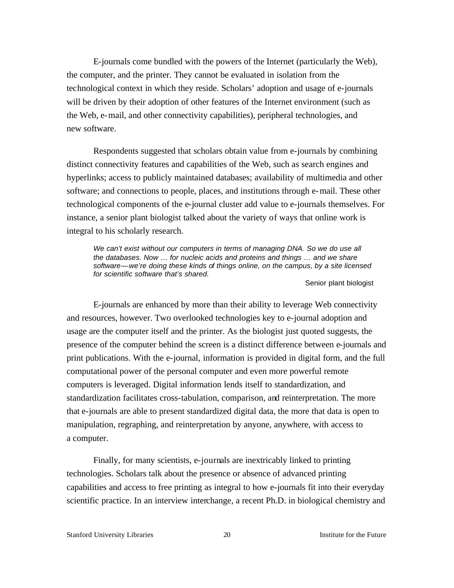E-journals come bundled with the powers of the Internet (particularly the Web), the computer, and the printer. They cannot be evaluated in isolation from the technological context in which they reside. Scholars' adoption and usage of e-journals will be driven by their adoption of other features of the Internet environment (such as the Web, e-mail, and other connectivity capabilities), peripheral technologies, and new software.

Respondents suggested that scholars obtain value from e-journals by combining distinct connectivity features and capabilities of the Web, such as search engines and hyperlinks; access to publicly maintained databases; availability of multimedia and other software; and connections to people, places, and institutions through e-mail. These other technological components of the e-journal cluster add value to e-journals themselves. For instance, a senior plant biologist talked about the variety of ways that online work is integral to his scholarly research.

We can't exist without our computers in terms of managing DNA. So we do use all *the databases. Now … for nucleic acids and proteins and things … and we share software—we're doing these kinds of things online, on the campus, by a site licensed for scientific software that's shared.* 

Senior plant biologist

E-journals are enhanced by more than their ability to leverage Web connectivity and resources, however. Two overlooked technologies key to e-journal adoption and usage are the computer itself and the printer. As the biologist just quoted suggests, the presence of the computer behind the screen is a distinct difference between e-journals and print publications. With the e-journal, information is provided in digital form, and the full computational power of the personal computer and even more powerful remote computers is leveraged. Digital information lends itself to standardization, and standardization facilitates cross-tabulation, comparison, and reinterpretation. The more that e-journals are able to present standardized digital data, the more that data is open to manipulation, regraphing, and reinterpretation by anyone, anywhere, with access to a computer.

Finally, for many scientists, e-journals are inextricably linked to printing technologies. Scholars talk about the presence or absence of advanced printing capabilities and access to free printing as integral to how e-journals fit into their everyday scientific practice. In an interview interchange, a recent Ph.D. in biological chemistry and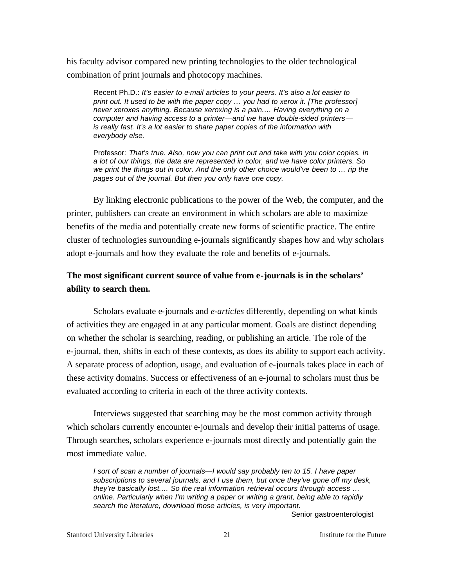his faculty advisor compared new printing technologies to the older technological combination of print journals and photocopy machines.

Recent Ph.D.: *It's easier to e-mail articles to your peers. It's also a lot easier to print out. It used to be with the paper copy … you had to xerox it. [The professor] never xeroxes anything. Because xeroxing is a pain.… Having everything on a computer and having access to a printer—and we have double-sided printers is really fast. It's a lot easier to share paper copies of the information with everybody else.*

Professor: *That's true. Also, now you can print out and take with you color copies. In a lot of our things, the data are represented in color, and we have color printers. So we print the things out in color. And the only other choice would've been to … rip the pages out of the journal. But then you only have one copy.*

By linking electronic publications to the power of the Web, the computer, and the printer, publishers can create an environment in which scholars are able to maximize benefits of the media and potentially create new forms of scientific practice. The entire cluster of technologies surrounding e-journals significantly shapes how and why scholars adopt e-journals and how they evaluate the role and benefits of e-journals.

## **The most significant current source of value from e-journals is in the scholars' ability to search them.**

Scholars evaluate e-journals and *e-articles* differently, depending on what kinds of activities they are engaged in at any particular moment. Goals are distinct depending on whether the scholar is searching, reading, or publishing an article. The role of the e-journal, then, shifts in each of these contexts, as does its ability to support each activity. A separate process of adoption, usage, and evaluation of e-journals takes place in each of these activity domains. Success or effectiveness of an e-journal to scholars must thus be evaluated according to criteria in each of the three activity contexts.

Interviews suggested that searching may be the most common activity through which scholars currently encounter e-journals and develop their initial patterns of usage. Through searches, scholars experience e-journals most directly and potentially gain the most immediate value.

*I sort of scan a number of journals—I would say probably ten to 15. I have paper subscriptions to several journals, and I use them, but once they've gone off my desk, they're basically lost.… So the real information retrieval occurs through access … online. Particularly when I'm writing a paper or writing a grant, being able to rapidly search the literature, download those articles, is very important.*

Senior gastroenterologist

Stanford University Libraries 21 21 Institute for the Future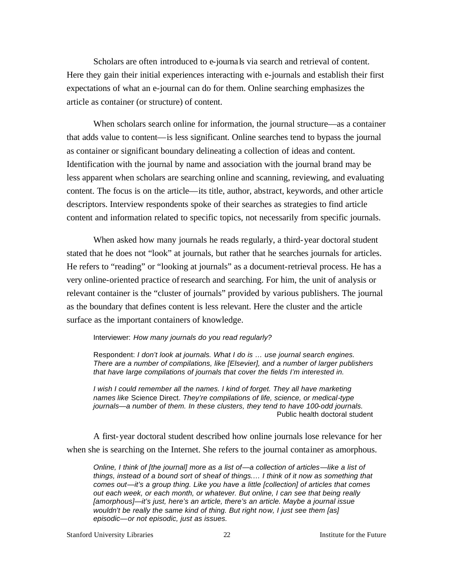Scholars are often introduced to e-journals via search and retrieval of content. Here they gain their initial experiences interacting with e-journals and establish their first expectations of what an e-journal can do for them. Online searching emphasizes the article as container (or structure) of content.

When scholars search online for information, the journal structure—as a container that adds value to content—is less significant. Online searches tend to bypass the journal as container or significant boundary delineating a collection of ideas and content. Identification with the journal by name and association with the journal brand may be less apparent when scholars are searching online and scanning, reviewing, and evaluating content. The focus is on the article—its title, author, abstract, keywords, and other article descriptors. Interview respondents spoke of their searches as strategies to find article content and information related to specific topics, not necessarily from specific journals.

When asked how many journals he reads regularly, a third-year doctoral student stated that he does not "look" at journals, but rather that he searches journals for articles. He refers to "reading" or "looking at journals" as a document-retrieval process. He has a very online-oriented practice of research and searching. For him, the unit of analysis or relevant container is the "cluster of journals" provided by various publishers. The journal as the boundary that defines content is less relevant. Here the cluster and the article surface as the important containers of knowledge.

Interviewer: *How many journals do you read regularly?*

Respondent: *I don't look at journals. What I do is … use journal search engines. There are a number of compilations, like [Elsevier], and a number of larger publishers that have large compilations of journals that cover the fields I'm interested in.*

*I* wish *I* could remember all the names. *I kind of forget. They all have marketing names like* Science Direct. *They're compilations of life, science, or medical-type journals—a number of them. In these clusters, they tend to have 100-odd journals.* Public health doctoral student

A first-year doctoral student described how online journals lose relevance for her when she is searching on the Internet. She refers to the journal container as amorphous.

*Online, I think of [the journal] more as a list of—a collection of articles—like a list of things, instead of a bound sort of sheaf of things.… I think of it now as something that comes out—it's a group thing. Like you have a little [collection] of articles that comes out each week, or each month, or whatever. But online, I can see that being really [amorphous]—it's just, here's an article, there's an article. Maybe a journal issue wouldn't be really the same kind of thing. But right now, I just see them [as] episodic—or not episodic, just as issues.*

Stanford University Libraries 22 12 Institute for the Future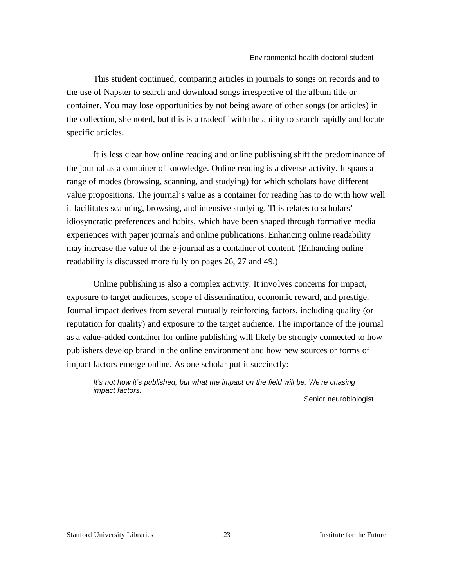This student continued, comparing articles in journals to songs on records and to the use of Napster to search and download songs irrespective of the album title or container. You may lose opportunities by not being aware of other songs (or articles) in the collection, she noted, but this is a tradeoff with the ability to search rapidly and locate specific articles.

It is less clear how online reading and online publishing shift the predominance of the journal as a container of knowledge. Online reading is a diverse activity. It spans a range of modes (browsing, scanning, and studying) for which scholars have different value propositions. The journal's value as a container for reading has to do with how well it facilitates scanning, browsing, and intensive studying. This relates to scholars' idiosyncratic preferences and habits, which have been shaped through formative media experiences with paper journals and online publications. Enhancing online readability may increase the value of the e-journal as a container of content. (Enhancing online readability is discussed more fully on pages 26, 27 and 49.)

Online publishing is also a complex activity. It involves concerns for impact, exposure to target audiences, scope of dissemination, economic reward, and prestige. Journal impact derives from several mutually reinforcing factors, including quality (or reputation for quality) and exposure to the target audience. The importance of the journal as a value-added container for online publishing will likely be strongly connected to how publishers develop brand in the online environment and how new sources or forms of impact factors emerge online. As one scholar put it succinctly:

*It's not how it's published, but what the impact on the field will be. We're chasing impact factors.*

Senior neurobiologist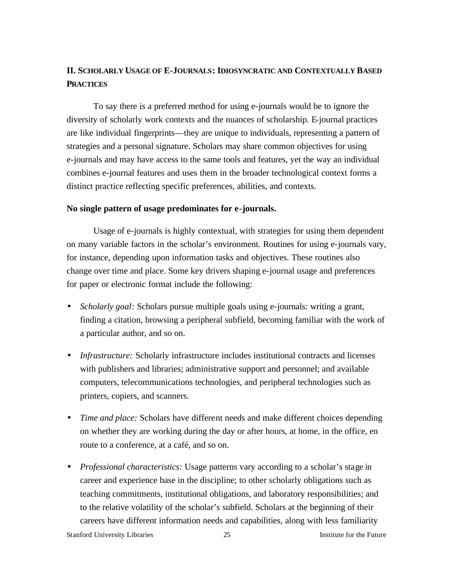# **II. SCHOLARLY USAGE OF E-JOURNALS: IDIOSYNCRATIC AND CONTEXTUALLY BASED PRACTICES**

To say there is a preferred method for using e-journals would be to ignore the diversity of scholarly work contexts and the nuances of scholarship. E-journal practices are like individual fingerprints—they are unique to individuals, representing a pattern of strategies and a personal signature. Scholars may share common objectives for using e-journals and may have access to the same tools and features, yet the way an individual combines e-journal features and uses them in the broader technological context forms a distinct practice reflecting specific preferences, abilities, and contexts.

## **No single pattern of usage predominates for e-journals.**

Usage of e-journals is highly contextual, with strategies for using them dependent on many variable factors in the scholar's environment. Routines for using e-journals vary, for instance, depending upon information tasks and objectives. These routines also change over time and place. Some key drivers shaping e-journal usage and preferences for paper or electronic format include the following:

- *Scholarly goal:* Scholars pursue multiple goals using e-journals: writing a grant, finding a citation, browsing a peripheral subfield, becoming familiar with the work of a particular author, and so on.
- *Infrastructure:* Scholarly infrastructure includes institutional contracts and licenses with publishers and libraries; administrative support and personnel; and available computers, telecommunications technologies, and peripheral technologies such as printers, copiers, and scanners.
- *Time and place:* Scholars have different needs and make different choices depending on whether they are working during the day or after hours, at home, in the office, en route to a conference, at a café, and so on.
- *Professional characteristics:* Usage patterns vary according to a scholar's stage in career and experience base in the discipline; to other scholarly obligations such as teaching commitments, institutional obligations, and laboratory responsibilities; and to the relative volatility of the scholar's subfield. Scholars at the beginning of their careers have different information needs and capabilities, along with less familiarity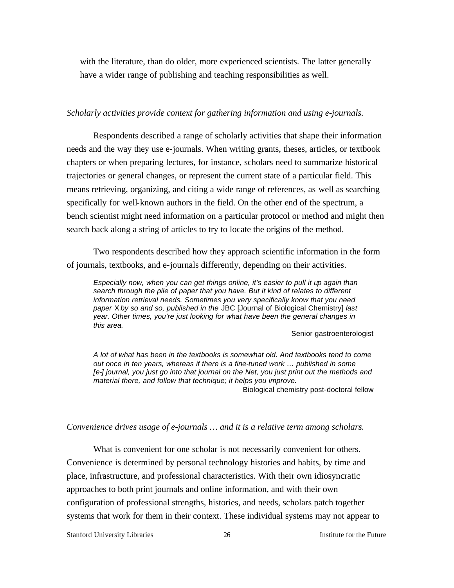with the literature, than do older, more experienced scientists. The latter generally have a wider range of publishing and teaching responsibilities as well.

#### *Scholarly activities provide context for gathering information and using e-journals.*

Respondents described a range of scholarly activities that shape their information needs and the way they use e-journals. When writing grants, theses, articles, or textbook chapters or when preparing lectures, for instance, scholars need to summarize historical trajectories or general changes, or represent the current state of a particular field. This means retrieving, organizing, and citing a wide range of references, as well as searching specifically for well-known authors in the field. On the other end of the spectrum, a bench scientist might need information on a particular protocol or method and might then search back along a string of articles to try to locate the origins of the method.

Two respondents described how they approach scientific information in the form of journals, textbooks, and e-journals differently, depending on their activities.

*Especially now, when you can get things online, it's easier to pull it up again than search through the pile of paper that you have. But it kind of relates to different information retrieval needs. Sometimes you very specifically know that you need paper* X *by so and so, published in the* JBC [Journal of Biological Chemistry] *last year. Other times, you're just looking for what have been the general changes in this area.* 

Senior gastroenterologist

*A lot of what has been in the textbooks is somewhat old. And textbooks tend to come out once in ten years, whereas if there is a fine-tuned work … published in some*  [e-] journal, you just go into that journal on the Net, you just print out the methods and *material there, and follow that technique; it helps you improve.* 

Biological chemistry post-doctoral fellow

#### *Convenience drives usage of e-journals … and it is a relative term among scholars.*

What is convenient for one scholar is not necessarily convenient for others. Convenience is determined by personal technology histories and habits, by time and place, infrastructure, and professional characteristics. With their own idiosyncratic approaches to both print journals and online information, and with their own configuration of professional strengths, histories, and needs, scholars patch together systems that work for them in their context. These individual systems may not appear to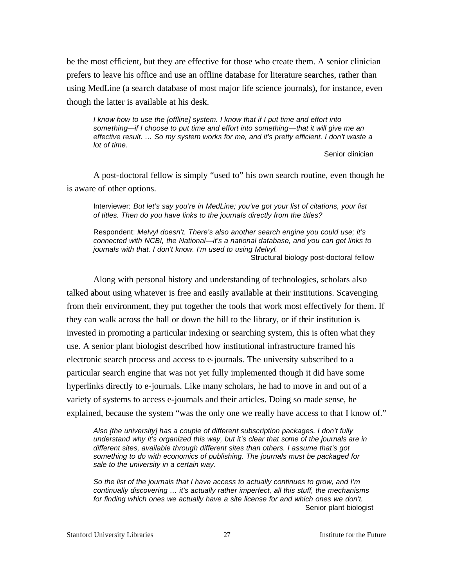be the most efficient, but they are effective for those who create them. A senior clinician prefers to leave his office and use an offline database for literature searches, rather than using MedLine (a search database of most major life science journals), for instance, even though the latter is available at his desk.

*I know how to use the [offline] system. I know that if I put time and effort into something—if I choose to put time and effort into something—that it will give me an effective result. … So my system works for me, and it's pretty efficient. I don't waste a lot of time.* 

Senior clinician

A post-doctoral fellow is simply "used to" his own search routine, even though he is aware of other options.

Interviewer: *But let's say you're in MedLine; you've got your list of citations, your list of titles. Then do you have links to the journals directly from the titles?*

Respondent: *Melvyl doesn't. There's also another search engine you could use; it's connected with NCBI, the National—it's a national database, and you can get links to journals with that. I don't know. I'm used to using Melvyl.* Structural biology post-doctoral fellow

Along with personal history and understanding of technologies, scholars also talked about using whatever is free and easily available at their institutions. Scavenging from their environment, they put together the tools that work most effectively for them. If they can walk across the hall or down the hill to the library, or if their institution is invested in promoting a particular indexing or searching system, this is often what they use. A senior plant biologist described how institutional infrastructure framed his electronic search process and access to e-journals. The university subscribed to a particular search engine that was not yet fully implemented though it did have some hyperlinks directly to e-journals. Like many scholars, he had to move in and out of a variety of systems to access e-journals and their articles. Doing so made sense, he explained, because the system "was the only one we really have access to that I know of."

*Also [the university] has a couple of different subscription packages. I don't fully understand why it's organized this way, but it's clear that some of the journals are in different sites, available through different sites than others. I assume that's got something to do with economics of publishing. The journals must be packaged for sale to the university in a certain way.*

*So the list of the journals that I have access to actually continues to grow, and I'm continually discovering … it's actually rather imperfect, all this stuff, the mechanisms for finding which ones we actually have a site license for and which ones we don't.* Senior plant biologist

Stanford University Libraries 27 27 Institute for the Future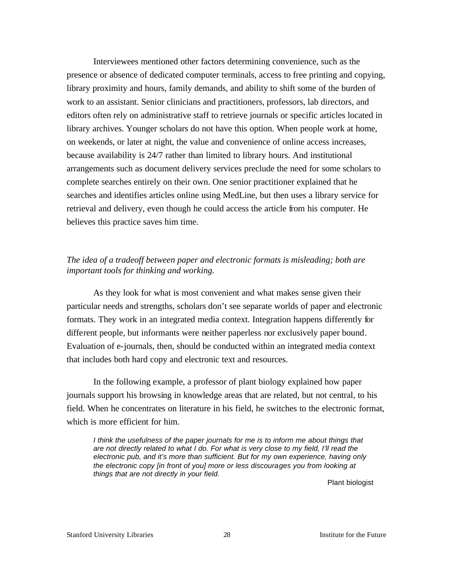Interviewees mentioned other factors determining convenience, such as the presence or absence of dedicated computer terminals, access to free printing and copying, library proximity and hours, family demands, and ability to shift some of the burden of work to an assistant. Senior clinicians and practitioners, professors, lab directors, and editors often rely on administrative staff to retrieve journals or specific articles located in library archives. Younger scholars do not have this option. When people work at home, on weekends, or later at night, the value and convenience of online access increases, because availability is 24/7 rather than limited to library hours. And institutional arrangements such as document delivery services preclude the need for some scholars to complete searches entirely on their own. One senior practitioner explained that he searches and identifies articles online using MedLine, but then uses a library service for retrieval and delivery, even though he could access the article from his computer. He believes this practice saves him time.

## *The idea of a tradeoff between paper and electronic formats is misleading; both are important tools for thinking and working.*

As they look for what is most convenient and what makes sense given their particular needs and strengths, scholars don't see separate worlds of paper and electronic formats. They work in an integrated media context. Integration happens differently for different people, but informants were neither paperless nor exclusively paper bound. Evaluation of e-journals, then, should be conducted within an integrated media context that includes both hard copy and electronic text and resources.

In the following example, a professor of plant biology explained how paper journals support his browsing in knowledge areas that are related, but not central, to his field. When he concentrates on literature in his field, he switches to the electronic format, which is more efficient for him.

*I think the usefulness of the paper journals for me is to inform me about things that are not directly related to what I do. For what is very close to my field, I'll read the electronic pub, and it's more than sufficient. But for my own experience, having only the electronic copy [in front of you] more or less discourages you from looking at things that are not directly in your field.*

Plant biologist

Stanford University Libraries 28 28 Institute for the Future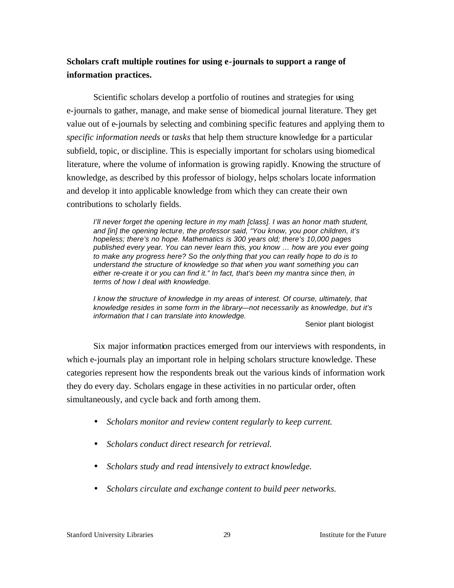# **Scholars craft multiple routines for using e-journals to support a range of information practices.**

Scientific scholars develop a portfolio of routines and strategies for using e-journals to gather, manage, and make sense of biomedical journal literature. They get value out of e-journals by selecting and combining specific features and applying them to *specific information needs* or *tasks* that help them structure knowledge for a particular subfield, topic, or discipline. This is especially important for scholars using biomedical literature, where the volume of information is growing rapidly. Knowing the structure of knowledge, as described by this professor of biology, helps scholars locate information and develop it into applicable knowledge from which they can create their own contributions to scholarly fields.

*I'll never forget the opening lecture in my math [class]. I was an honor math student, and [in] the opening lecture, the professor said, "You know, you poor children, it's hopeless; there's no hope. Mathematics is 300 years old; there's 10,000 pages published every year. You can never learn this, you know … how are you ever going to make any progress here? So the only thing that you can really hope to do is to understand the structure of knowledge so that when you want something you can either re-create it or you can find it." In fact, that's been my mantra since then, in terms of how I deal with knowledge.* 

*I* know the structure of knowledge in my areas of interest. Of course, ultimately, that *knowledge resides in some form in the library—not necessarily as knowledge, but it's information that I can translate into knowledge.* 

Senior plant biologist

Six major information practices emerged from our interviews with respondents, in which e-journals play an important role in helping scholars structure knowledge. These categories represent how the respondents break out the various kinds of information work they do every day. Scholars engage in these activities in no particular order, often simultaneously, and cycle back and forth among them.

- *Scholars monitor and review content regularly to keep current.*
- *Scholars conduct direct research for retrieval.*
- *Scholars study and read intensively to extract knowledge.*
- *Scholars circulate and exchange content to build peer networks.*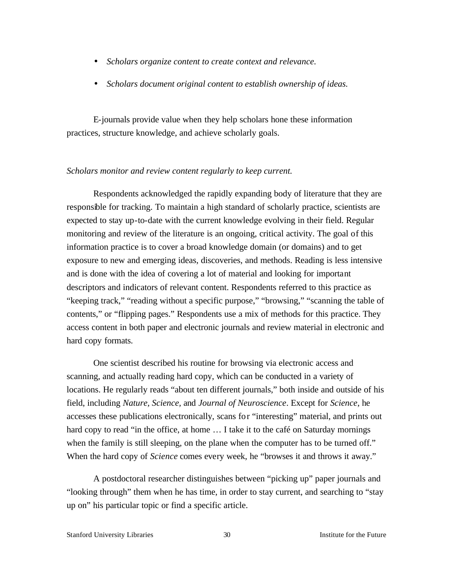- *Scholars organize content to create context and relevance.*
- *Scholars document original content to establish ownership of ideas.*

E-journals provide value when they help scholars hone these information practices, structure knowledge, and achieve scholarly goals.

## *Scholars monitor and review content regularly to keep current.*

Respondents acknowledged the rapidly expanding body of literature that they are responsible for tracking. To maintain a high standard of scholarly practice, scientists are expected to stay up-to-date with the current knowledge evolving in their field. Regular monitoring and review of the literature is an ongoing, critical activity. The goal of this information practice is to cover a broad knowledge domain (or domains) and to get exposure to new and emerging ideas, discoveries, and methods. Reading is less intensive and is done with the idea of covering a lot of material and looking for important descriptors and indicators of relevant content. Respondents referred to this practice as "keeping track," "reading without a specific purpose," "browsing," "scanning the table of contents," or "flipping pages." Respondents use a mix of methods for this practice. They access content in both paper and electronic journals and review material in electronic and hard copy formats.

One scientist described his routine for browsing via electronic access and scanning, and actually reading hard copy, which can be conducted in a variety of locations. He regularly reads "about ten different journals," both inside and outside of his field, including *Nature, Science,* and *Journal of Neuroscience*. Except for *Science*, he accesses these publications electronically, scans for "interesting" material, and prints out hard copy to read "in the office, at home ... I take it to the café on Saturday mornings when the family is still sleeping, on the plane when the computer has to be turned off." When the hard copy of *Science* comes every week, he "browses it and throws it away."

A postdoctoral researcher distinguishes between "picking up" paper journals and "looking through" them when he has time, in order to stay current, and searching to "stay up on" his particular topic or find a specific article.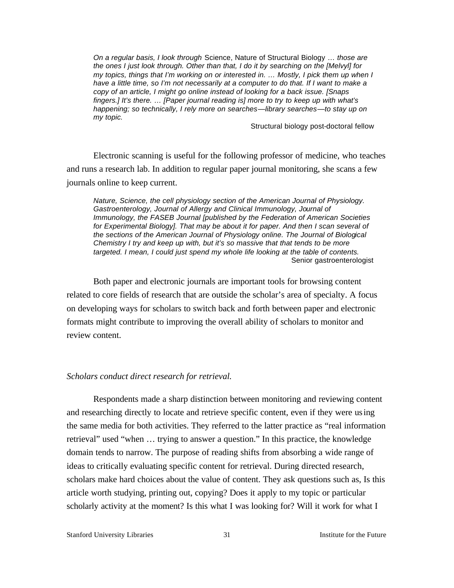*On a regular basis, I look through* Science, Nature of Structural Biology *… those are the ones I just look through. Other than that, I do it by searching on the [Melvyl] for my topics, things that I'm working on or interested in. … Mostly, I pick them up when I have a little time, so I'm not necessarily at a computer to do that. If I want to make a copy of an article, I might go online instead of looking for a back issue. [Snaps fingers.] It's there. … [Paper journal reading is] more to try to keep up with what's happening; so technically, I rely more on searches—library searches—to stay up on my topic.* 

Structural biology post-doctoral fellow

Electronic scanning is useful for the following professor of medicine, who teaches and runs a research lab. In addition to regular paper journal monitoring, she scans a few journals online to keep current.

*Nature, Science, the cell physiology section of the American Journal of Physiology. Gastroenterology, Journal of Allergy and Clinical Immunology, Journal of Immunology, the FASEB Journal [published by the Federation of American Societies*  for Experimental Biology]. That may be about it for paper. And then I scan several of *the sections of the American Journal of Physiology online. The Journal of Biological Chemistry I try and keep up with, but it's so massive that that tends to be more targeted. I mean, I could just spend my whole life looking at the table of contents.* Senior gastroenterologist

Both paper and electronic journals are important tools for browsing content related to core fields of research that are outside the scholar's area of specialty. A focus on developing ways for scholars to switch back and forth between paper and electronic formats might contribute to improving the overall ability of scholars to monitor and review content.

## *Scholars conduct direct research for retrieval.*

Respondents made a sharp distinction between monitoring and reviewing content and researching directly to locate and retrieve specific content, even if they were using the same media for both activities. They referred to the latter practice as "real information retrieval" used "when … trying to answer a question." In this practice, the knowledge domain tends to narrow. The purpose of reading shifts from absorbing a wide range of ideas to critically evaluating specific content for retrieval. During directed research, scholars make hard choices about the value of content. They ask questions such as, Is this article worth studying, printing out, copying? Does it apply to my topic or particular scholarly activity at the moment? Is this what I was looking for? Will it work for what I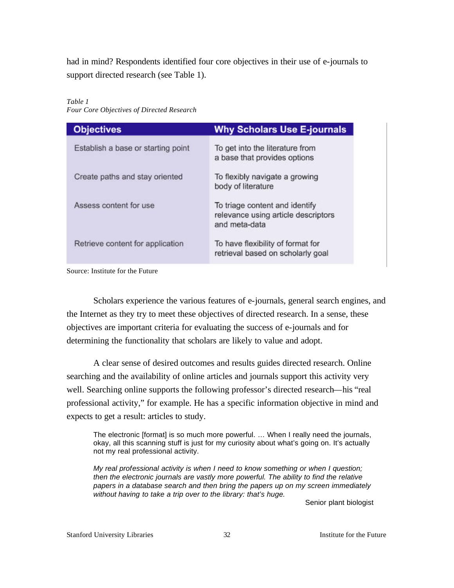had in mind? Respondents identified four core objectives in their use of e-journals to support directed research (see Table 1).

| <b>Objectives</b>                  | <b>Why Scholars Use E-journals</b>                                                     |
|------------------------------------|----------------------------------------------------------------------------------------|
| Establish a base or starting point | To get into the literature from<br>a base that provides options                        |
| Create paths and stay oriented     | To flexibly navigate a growing<br>body of literature                                   |
| Assess content for use             | To triage content and identify<br>relevance using article descriptors<br>and meta-data |
| Retrieve content for application   | To have flexibility of format for<br>retrieval based on scholarly goal                 |

## *Table 1*

*Four Core Objectives of Directed Research* 

Source: Institute for the Future

Scholars experience the various features of e-journals, general search engines, and the Internet as they try to meet these objectives of directed research. In a sense, these objectives are important criteria for evaluating the success of e-journals and for determining the functionality that scholars are likely to value and adopt.

A clear sense of desired outcomes and results guides directed research. Online searching and the availability of online articles and journals support this activity very well. Searching online supports the following professor's directed research—his "real professional activity," for example. He has a specific information objective in mind and expects to get a result: articles to study.

The electronic [format] is so much more powerful. … When I really need the journals, okay, all this scanning stuff is just for my curiosity about what's going on. It's actually not my real professional activity.

*My real professional activity is when I need to know something or when I question; then the electronic journals are vastly more powerful. The ability to find the relative papers in a database search and then bring the papers up on my screen immediately without having to take a trip over to the library: that's huge.* 

Senior plant biologist

Stanford University Libraries 32 32 Institute for the Future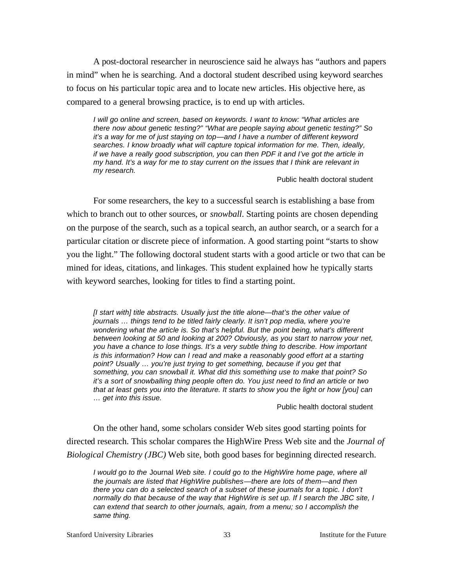A post-doctoral researcher in neuroscience said he always has "authors and papers in mind" when he is searching. And a doctoral student described using keyword searches to focus on his particular topic area and to locate new articles. His objective here, as compared to a general browsing practice, is to end up with articles.

*I* will go online and screen, based on keywords. I want to know: "What articles are *there now about genetic testing?" "What are people saying about genetic testing?" So it's a way for me of just staying on top—and I have a number of different keyword searches. I know broadly what will capture topical information for me. Then, ideally, if we have a really good subscription, you can then PDF it and I've got the article in my hand. It's a way for me to stay current on the issues that I think are relevant in my research.* 

Public health doctoral student

For some researchers, the key to a successful search is establishing a base from which to branch out to other sources, or *snowball*. Starting points are chosen depending on the purpose of the search, such as a topical search, an author search, or a search for a particular citation or discrete piece of information. A good starting point "starts to show you the light." The following doctoral student starts with a good article or two that can be mined for ideas, citations, and linkages. This student explained how he typically starts with keyword searches, looking for titles to find a starting point.

*[I start with] title abstracts. Usually just the title alone—that's the other value of journals … things tend to be titled fairly clearly. It isn't pop media, where you're wondering what the article is. So that's helpful. But the point being, what's different between looking at 50 and looking at 200? Obviously, as you start to narrow your net, you have a chance to lose things. It's a very subtle thing to describe. How important is this information? How can I read and make a reasonably good effort at a starting point? Usually … you're just trying to get something, because if you get that something, you can snowball it. What did this something use to make that point? So it's a sort of snowballing thing people often do. You just need to find an article or two that at least gets you into the literature. It starts to show you the light or how [you] can … get into this issue.*

Public health doctoral student

On the other hand, some scholars consider Web sites good starting points for directed research. This scholar compares the HighWire Press Web site and the *Journal of Biological Chemistry (JBC)* Web site, both good bases for beginning directed research.

*I would go to the* Journal *Web site. I could go to the HighWire home page, where all the journals are listed that HighWire publishes—there are lots of them—and then there you can do a selected search of a subset of these journals for a topic. I don't normally do that because of the way that HighWire is set up. If I search the JBC site, I can extend that search to other journals, again, from a menu; so I accomplish the same thing.*

Stanford University Libraries 33 33 Institute for the Future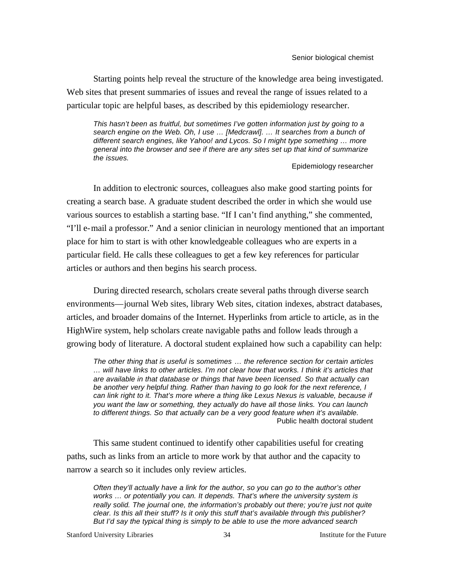#### Senior biological chemist

Starting points help reveal the structure of the knowledge area being investigated. Web sites that present summaries of issues and reveal the range of issues related to a particular topic are helpful bases, as described by this epidemiology researcher.

*This hasn't been as fruitful, but sometimes I've gotten information just by going to a search engine on the Web. Oh, I use … [Medcrawl]. … It searches from a bunch of different search engines, like Yahoo! and Lycos. So I might type something … more general into the browser and see if there are any sites set up that kind of summarize the issues.*

#### Epidemiology researcher

In addition to electronic sources, colleagues also make good starting points for creating a search base. A graduate student described the order in which she would use various sources to establish a starting base. "If I can't find anything," she commented, "I'll e-mail a professor." And a senior clinician in neurology mentioned that an important place for him to start is with other knowledgeable colleagues who are experts in a particular field. He calls these colleagues to get a few key references for particular articles or authors and then begins his search process.

During directed research, scholars create several paths through diverse search environments—journal Web sites, library Web sites, citation indexes, abstract databases, articles, and broader domains of the Internet. Hyperlinks from article to article, as in the HighWire system, help scholars create navigable paths and follow leads through a growing body of literature. A doctoral student explained how such a capability can help:

*The other thing that is useful is sometimes … the reference section for certain articles … will have links to other articles. I'm not clear how that works. I think it's articles that are available in that database or things that have been licensed. So that actually can be another very helpful thing. Rather than having to go look for the next reference, I can link right to it. That's more where a thing like Lexus Nexus is valuable, because if you want the law or something, they actually do have all those links. You can launch to different things. So that actually can be a very good feature when it's available.* Public health doctoral student

This same student continued to identify other capabilities useful for creating paths, such as links from an article to more work by that author and the capacity to narrow a search so it includes only review articles.

*Often they'll actually have a link for the author, so you can go to the author's other works … or potentially you can. It depends. That's where the university system is really solid. The journal one, the information's probably out there; you're just not quite clear. Is this all their stuff? Is it only this stuff that's available through this publisher? But I'd say the typical thing is simply to be able to use the more advanced search* 

Stanford University Libraries 34 34 Institute for the Future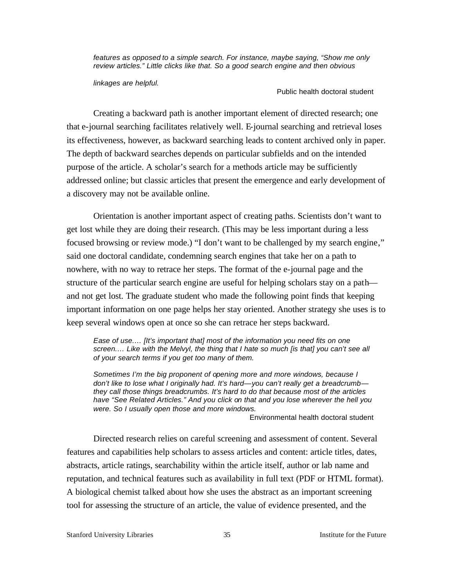*features as opposed to a simple search. For instance, maybe saying, "Show me only review articles." Little clicks like that. So a good search engine and then obvious* 

*linkages are helpful.*

#### Public health doctoral student

Creating a backward path is another important element of directed research; one that e-journal searching facilitates relatively well. E-journal searching and retrieval loses its effectiveness, however, as backward searching leads to content archived only in paper. The depth of backward searches depends on particular subfields and on the intended purpose of the article. A scholar's search for a methods article may be sufficiently addressed online; but classic articles that present the emergence and early development of a discovery may not be available online.

Orientation is another important aspect of creating paths. Scientists don't want to get lost while they are doing their research. (This may be less important during a less focused browsing or review mode.) "I don't want to be challenged by my search engine," said one doctoral candidate, condemning search engines that take her on a path to nowhere, with no way to retrace her steps. The format of the e-journal page and the structure of the particular search engine are useful for helping scholars stay on a path and not get lost. The graduate student who made the following point finds that keeping important information on one page helps her stay oriented. Another strategy she uses is to keep several windows open at once so she can retrace her steps backward.

*Ease of use.… [It's important that] most of the information you need fits on one screen.… Like with the Melvyl, the thing that I hate so much [is that] you can't see all of your search terms if you get too many of them.* 

*Sometimes I'm the big proponent of opening more and more windows, because I don't like to lose what I originally had. It's hard—you can't really get a breadcrumb they call those things breadcrumbs. It's hard to do that because most of the articles have "See Related Articles." And you click on that and you lose wherever the hell you were. So I usually open those and more windows.* 

Environmental health doctoral student

Directed research relies on careful screening and assessment of content. Several features and capabilities help scholars to assess articles and content: article titles, dates, abstracts, article ratings, searchability within the article itself, author or lab name and reputation, and technical features such as availability in full text (PDF or HTML format). A biological chemist talked about how she uses the abstract as an important screening tool for assessing the structure of an article, the value of evidence presented, and the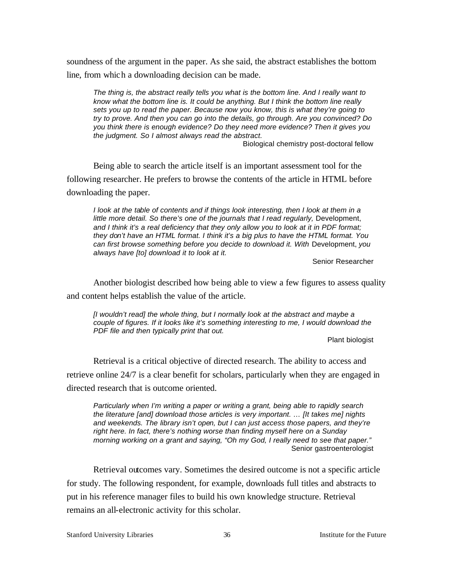soundness of the argument in the paper. As she said, the abstract establishes the bottom line, from which a downloading decision can be made.

*The thing is, the abstract really tells you what is the bottom line. And I really want to know what the bottom line is. It could be anything. But I think the bottom line really sets you up to read the paper. Because now you know, this is what they're going to try to prove. And then you can go into the details, go through. Are you convinced? Do you think there is enough evidence? Do they need more evidence? Then it gives you the judgment. So I almost always read the abstract.*

Biological chemistry post-doctoral fellow

Being able to search the article itself is an important assessment tool for the following researcher. He prefers to browse the contents of the article in HTML before downloading the paper.

*I look at the table of contents and if things look interesting, then I look at them in a* little more detail. So there's one of the journals that I read regularly, Development, *and I think it's a real deficiency that they only allow you to look at it in PDF format; they don't have an HTML format. I think it's a big plus to have the HTML format. You can first browse something before you decide to download it. With* Development, *you always have [to] download it to look at it.*

Senior Researcher

Another biologist described how being able to view a few figures to assess quality and content helps establish the value of the article.

*[I wouldn't read] the whole thing, but I normally look at the abstract and maybe a couple of figures. If it looks like it's something interesting to me, I would download the PDF file and then typically print that out.*

Plant biologist

Retrieval is a critical objective of directed research. The ability to access and retrieve online 24/7 is a clear benefit for scholars, particularly when they are engaged in directed research that is outcome oriented.

*Particularly when I'm writing a paper or writing a grant, being able to rapidly search the literature [and] download those articles is very important. … [It takes me] nights and weekends. The library isn't open, but I can just access those papers, and they're right here. In fact, there's nothing worse than finding myself here on a Sunday morning working on a grant and saying, "Oh my God, I really need to see that paper."*  Senior gastroenterologist

Retrieval outcomes vary. Sometimes the desired outcome is not a specific article for study. The following respondent, for example, downloads full titles and abstracts to put in his reference manager files to build his own knowledge structure. Retrieval remains an all-electronic activity for this scholar.

Stanford University Libraries 36 36 Institute for the Future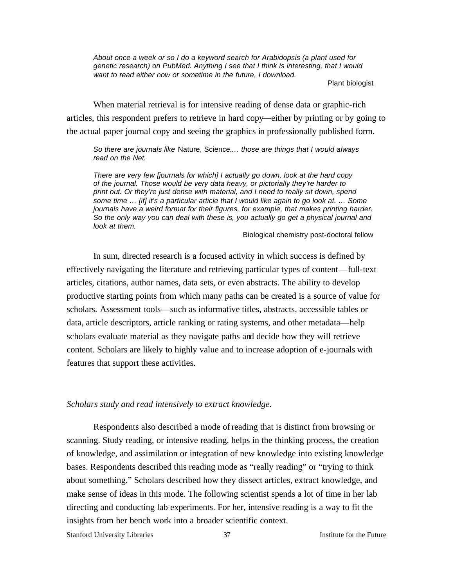*About once a week or so I do a keyword search for Arabidopsis (a plant used for genetic research) on PubMed. Anything I see that I think is interesting, that I would want to read either now or sometime in the future, I download.* 

Plant biologist

When material retrieval is for intensive reading of dense data or graphic-rich articles, this respondent prefers to retrieve in hard copy—either by printing or by going to the actual paper journal copy and seeing the graphics in professionally published form.

*So there are journals like* Nature, Science*.… those are things that I would always read on the Net.* 

*There are very few [journals for which] I actually go down, look at the hard copy of the journal. Those would be very data heavy, or pictorially they're harder to print out. Or they're just dense with material, and I need to really sit down, spend some time … [if] it's a particular article that I would like again to go look at. … Some journals have a weird format for their figures, for example, that makes printing harder. So the only way you can deal with these is, you actually go get a physical journal and look at them.* 

Biological chemistry post-doctoral fellow

In sum, directed research is a focused activity in which success is defined by effectively navigating the literature and retrieving particular types of content—full-text articles, citations, author names, data sets, or even abstracts. The ability to develop productive starting points from which many paths can be created is a source of value for scholars. Assessment tools—such as informative titles, abstracts, accessible tables or data, article descriptors, article ranking or rating systems, and other metadata—help scholars evaluate material as they navigate paths and decide how they will retrieve content. Scholars are likely to highly value and to increase adoption of e-journals with features that support these activities.

### *Scholars study and read intensively to extract knowledge.*

Respondents also described a mode of reading that is distinct from browsing or scanning. Study reading, or intensive reading, helps in the thinking process, the creation of knowledge, and assimilation or integration of new knowledge into existing knowledge bases. Respondents described this reading mode as "really reading" or "trying to think about something." Scholars described how they dissect articles, extract knowledge, and make sense of ideas in this mode. The following scientist spends a lot of time in her lab directing and conducting lab experiments. For her, intensive reading is a way to fit the insights from her bench work into a broader scientific context.

Stanford University Libraries 37 37 Institute for the Future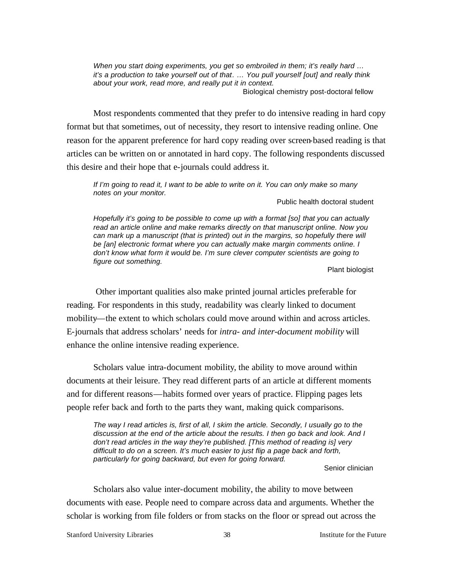*When you start doing experiments, you get so embroiled in them; it's really hard … it's a production to take yourself out of that. … You pull yourself [out] and really think about your work, read more, and really put it in context.*  Biological chemistry post-doctoral fellow

Most respondents commented that they prefer to do intensive reading in hard copy format but that sometimes, out of necessity, they resort to intensive reading online. One reason for the apparent preference for hard copy reading over screen-based reading is that articles can be written on or annotated in hard copy. The following respondents discussed this desire and their hope that e-journals could address it.

*If I'm going to read it, I want to be able to write on it. You can only make so many notes on your monitor.*

Public health doctoral student

*Hopefully it's going to be possible to come up with a format [so] that you can actually read an article online and make remarks directly on that manuscript online. Now you can mark up a manuscript (that is printed) out in the margins, so hopefully there will*  be [an] electronic format where you can actually make margin comments online. I *don't know what form it would be. I'm sure clever computer scientists are going to figure out something.* 

Plant biologist

 Other important qualities also make printed journal articles preferable for reading. For respondents in this study, readability was clearly linked to document mobility—the extent to which scholars could move around within and across articles. E-journals that address scholars' needs for *intra- and inter-document mobility* will enhance the online intensive reading experience.

Scholars value intra-document mobility, the ability to move around within documents at their leisure. They read different parts of an article at different moments and for different reasons—habits formed over years of practice. Flipping pages lets people refer back and forth to the parts they want, making quick comparisons.

*The way I read articles is, first of all, I skim the article. Secondly, I usually go to the*  discussion at the end of the article about the results. I then go back and look. And I *don't read articles in the way they're published. [This method of reading is] very difficult to do on a screen. It's much easier to just flip a page back and forth, particularly for going backward, but even for going forward.* 

Senior clinician

Scholars also value inter-document mobility, the ability to move between documents with ease. People need to compare across data and arguments. Whether the scholar is working from file folders or from stacks on the floor or spread out across the

Stanford University Libraries 38 38 Institute for the Future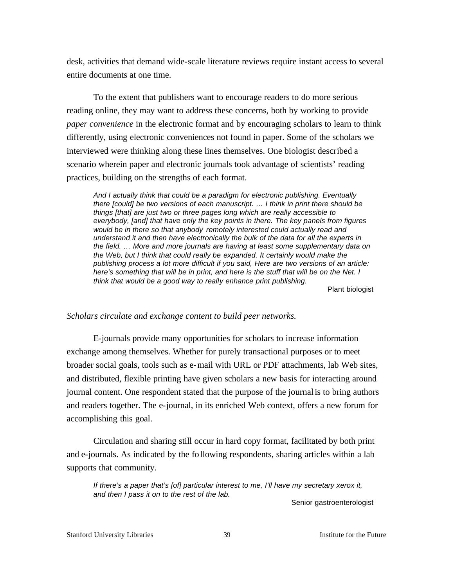desk, activities that demand wide-scale literature reviews require instant access to several entire documents at one time.

To the extent that publishers want to encourage readers to do more serious reading online, they may want to address these concerns, both by working to provide *paper convenience* in the electronic format and by encouraging scholars to learn to think differently, using electronic conveniences not found in paper. Some of the scholars we interviewed were thinking along these lines themselves. One biologist described a scenario wherein paper and electronic journals took advantage of scientists' reading practices, building on the strengths of each format.

*And I actually think that could be a paradigm for electronic publishing. Eventually there [could] be two versions of each manuscript. … I think in print there should be things [that] are just two or three pages long which are really accessible to everybody, [and] that have only the key points in there. The key panels from figures would be in there so that anybody remotely interested could actually read and understand it and then have electronically the bulk of the data for all the experts in the field. … More and more journals are having at least some supplementary data on the Web, but I think that could really be expanded. It certainly would make the publishing process a lot more difficult if you said, Here are two versions of an article: here's something that will be in print, and here is the stuff that will be on the Net. I think that would be a good way to really enhance print publishing.*

Plant biologist

#### *Scholars circulate and exchange content to build peer networks.*

E-journals provide many opportunities for scholars to increase information exchange among themselves. Whether for purely transactional purposes or to meet broader social goals, tools such as e-mail with URL or PDF attachments, lab Web sites, and distributed, flexible printing have given scholars a new basis for interacting around journal content. One respondent stated that the purpose of the journal is to bring authors and readers together. The e-journal, in its enriched Web context, offers a new forum for accomplishing this goal.

Circulation and sharing still occur in hard copy format, facilitated by both print and e-journals. As indicated by the following respondents, sharing articles within a lab supports that community.

*If there's a paper that's [of] particular interest to me, I'll have my secretary xerox it, and then I pass it on to the rest of the lab.* 

Senior gastroenterologist

Stanford University Libraries 39 39 Institute for the Future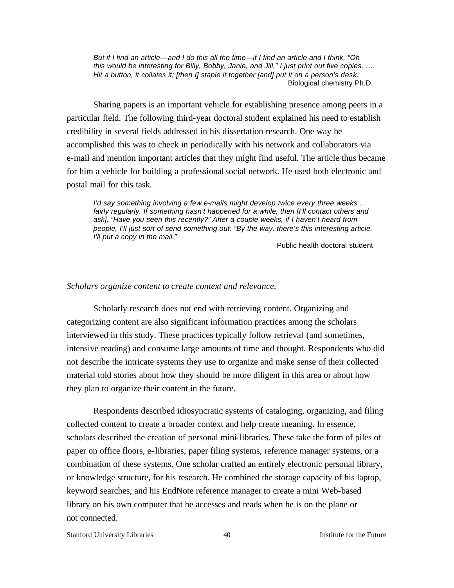*But if I find an article—and I do this all the time—if I find an article and I think, "Oh this would be interesting for Billy, Bobby, Janie, and Jill," I just print out five copies. … Hit a button, it collates it; [then I] staple it together [and] put it on a person's desk.*  Biological chemistry Ph.D.

Sharing papers is an important vehicle for establishing presence among peers in a particular field. The following third-year doctoral student explained his need to establish credibility in several fields addressed in his dissertation research. One way he accomplished this was to check in periodically with his network and collaborators via e-mail and mention important articles that they might find useful. The article thus became for him a vehicle for building a professional social network. He used both electronic and postal mail for this task.

*I'd say something involving a few e-mails might develop twice every three weeks … fairly regularly. If something hasn't happened for a while, then [I'll contact others and*  ask], "Have you seen this recently?" After a couple weeks, if I haven't heard from *people, I'll just sort of send something out: "By the way, there's this interesting article. I'll put a copy in the mail."*

Public health doctoral student

#### *Scholars organize content to create context and relevance.*

Scholarly research does not end with retrieving content. Organizing and categorizing content are also significant information practices among the scholars interviewed in this study. These practices typically follow retrieval (and sometimes, intensive reading) and consume large amounts of time and thought. Respondents who did not describe the intricate systems they use to organize and make sense of their collected material told stories about how they should be more diligent in this area or about how they plan to organize their content in the future.

Respondents described idiosyncratic systems of cataloging, organizing, and filing collected content to create a broader context and help create meaning. In essence, scholars described the creation of personal mini-libraries. These take the form of piles of paper on office floors, e-libraries, paper filing systems, reference manager systems, or a combination of these systems. One scholar crafted an entirely electronic personal library, or knowledge structure, for his research. He combined the storage capacity of his laptop, keyword searches, and his EndNote reference manager to create a mini Web-based library on his own computer that he accesses and reads when he is on the plane or not connected.

Stanford University Libraries 40 40 Institute for the Future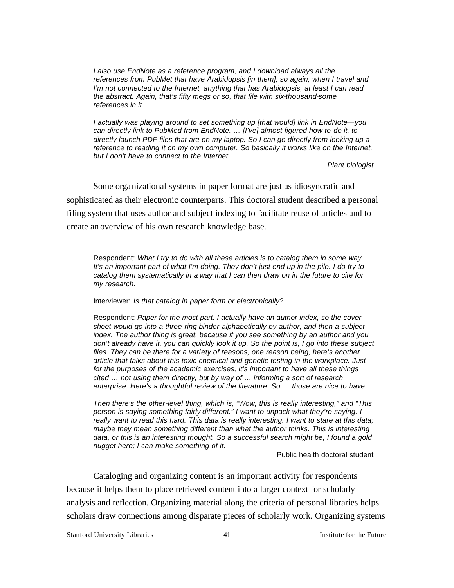*I also use EndNote as a reference program, and I download always all the references from PubMet that have Arabidopsis [in them], so again, when I travel and I'm not connected to the Internet, anything that has Arabidopsis, at least I can read the abstract. Again, that's fifty megs or so, that file with six-thousand-some references in it.* 

*I actually was playing around to set something up [that would] link in EndNote—you can directly link to PubMed from EndNote. … [I've] almost figured how to do it, to directly launch PDF files that are on my laptop. So I can go directly from looking up a reference to reading it on my own computer. So basically it works like on the Internet, but I don't have to connect to the Internet.*

*Plant biologist*

Some organizational systems in paper format are just as idiosyncratic and sophisticated as their electronic counterparts. This doctoral student described a personal filing system that uses author and subject indexing to facilitate reuse of articles and to create an overview of his own research knowledge base.

Respondent: *What I try to do with all these articles is to catalog them in some way. … It's an important part of what I'm doing. They don't just end up in the pile. I do try to catalog them systematically in a way that I can then draw on in the future to cite for my research.* 

Interviewer: *Is that catalog in paper form or electronically?*

Respondent: *Paper for the most part. I actually have an author index, so the cover sheet would go into a three-ring binder alphabetically by author, and then a subject index. The author thing is great, because if you see something by an author and you don't already have it, you can quickly look it up. So the point is, I go into these subject files. They can be there for a variety of reasons, one reason being, here's another article that talks about this toxic chemical and genetic testing in the workplace. Just for the purposes of the academic exercises, it's important to have all these things cited … not using them directly, but by way of … informing a sort of research enterprise. Here's a thoughtful review of the literature. So … those are nice to have.* 

*Then there's the other-level thing, which is, "Wow, this is really interesting," and "This person is saying something fairly different." I want to unpack what they're saying. I really want to read this hard. This data is really interesting. I want to stare at this data; maybe they mean something different than what the author thinks. This is interesting data, or this is an interesting thought. So a successful search might be, I found a gold nugget here; I can make something of it.*

Public health doctoral student

Cataloging and organizing content is an important activity for respondents because it helps them to place retrieved content into a larger context for scholarly analysis and reflection. Organizing material along the criteria of personal libraries helps scholars draw connections among disparate pieces of scholarly work. Organizing systems

Stanford University Libraries 41 and 41 Institute for the Future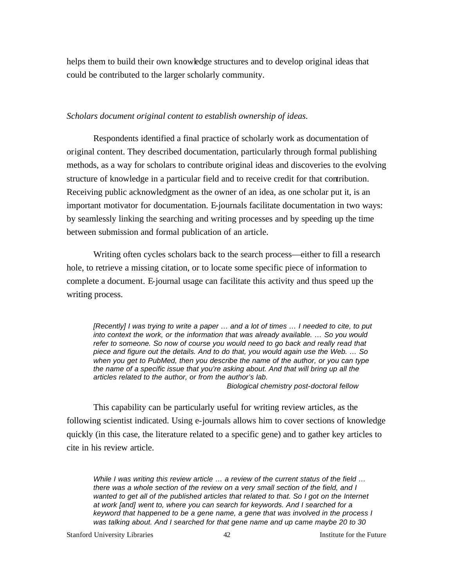helps them to build their own knowledge structures and to develop original ideas that could be contributed to the larger scholarly community.

### *Scholars document original content to establish ownership of ideas.*

Respondents identified a final practice of scholarly work as documentation of original content. They described documentation, particularly through formal publishing methods, as a way for scholars to contribute original ideas and discoveries to the evolving structure of knowledge in a particular field and to receive credit for that contribution. Receiving public acknowledgment as the owner of an idea, as one scholar put it, is an important motivator for documentation. E-journals facilitate documentation in two ways: by seamlessly linking the searching and writing processes and by speeding up the time between submission and formal publication of an article.

Writing often cycles scholars back to the search process—either to fill a research hole, to retrieve a missing citation, or to locate some specific piece of information to complete a document. E-journal usage can facilitate this activity and thus speed up the writing process.

*[Recently] I was trying to write a paper … and a lot of times … I needed to cite, to put into context the work, or the information that was already available. … So you would refer to someone. So now of course you would need to go back and really read that piece and figure out the details. And to do that, you would again use the Web. … So when you get to PubMed, then you describe the name of the author, or you can type the name of a specific issue that you're asking about. And that will bring up all the articles related to the author, or from the author's lab.* 

*Biological chemistry post-doctoral fellow*

This capability can be particularly useful for writing review articles, as the following scientist indicated. Using e-journals allows him to cover sections of knowledge quickly (in this case, the literature related to a specific gene) and to gather key articles to cite in his review article.

*While I was writing this review article … a review of the current status of the field … there was a whole section of the review on a very small section of the field, and I wanted to get all of the published articles that related to that. So I got on the Internet at work [and] went to, where you can search for keywords. And I searched for a keyword that happened to be a gene name, a gene that was involved in the process I was talking about. And I searched for that gene name and up came maybe 20 to 30* 

Stanford University Libraries 42 42 Institute for the Future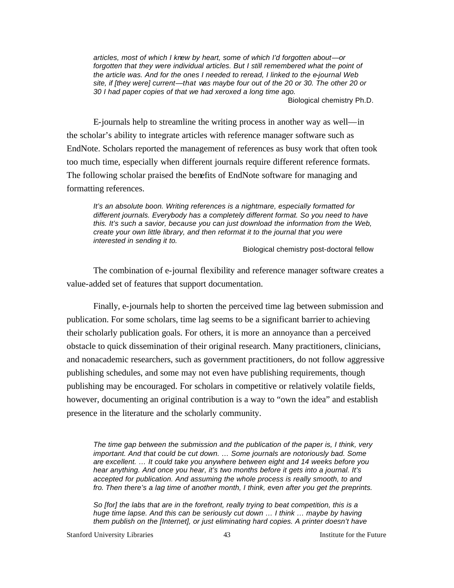*articles, most of which I knew by heart, some of which I'd forgotten about—or*  forgotten that they were individual articles. But I still remembered what the point of *the article was. And for the ones I needed to reread, I linked to the e-journal Web site, if [they were] current—that was maybe four out of the 20 or 30. The other 20 or 30 I had paper copies of that we had xeroxed a long time ago.*

Biological chemistry Ph.D.

E-journals help to streamline the writing process in another way as well—in the scholar's ability to integrate articles with reference manager software such as EndNote. Scholars reported the management of references as busy work that often took too much time, especially when different journals require different reference formats. The following scholar praised the benefits of EndNote software for managing and formatting references.

*It's an absolute boon. Writing references is a nightmare, especially formatted for different journals. Everybody has a completely different format. So you need to have this. It's such a savior, because you can just download the information from the Web, create your own little library, and then reformat it to the journal that you were interested in sending it to.*

Biological chemistry post-doctoral fellow

The combination of e-journal flexibility and reference manager software creates a value-added set of features that support documentation.

Finally, e-journals help to shorten the perceived time lag between submission and publication. For some scholars, time lag seems to be a significant barrier to achieving their scholarly publication goals. For others, it is more an annoyance than a perceived obstacle to quick dissemination of their original research. Many practitioners, clinicians, and nonacademic researchers, such as government practitioners, do not follow aggressive publishing schedules, and some may not even have publishing requirements, though publishing may be encouraged. For scholars in competitive or relatively volatile fields, however, documenting an original contribution is a way to "own the idea" and establish presence in the literature and the scholarly community.

*The time gap between the submission and the publication of the paper is, I think, very important. And that could be cut down. … Some journals are notoriously bad. Some are excellent. … It could take you anywhere between eight and 14 weeks before you hear anything. And once you hear, it's two months before it gets into a journal. It's accepted for publication. And assuming the whole process is really smooth, to and fro. Then there's a lag time of another month, I think, even after you get the preprints.* 

*So [for] the labs that are in the forefront, really trying to beat competition, this is a huge time lapse. And this can be seriously cut down … I think … maybe by having them publish on the [Internet], or just eliminating hard copies. A printer doesn't have* 

Stanford University Libraries 43 Institute for the Future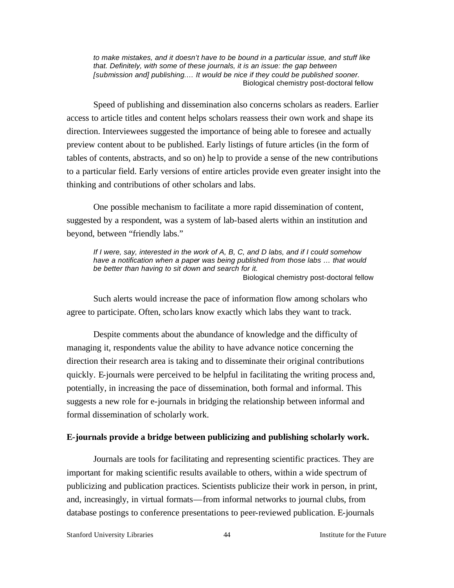*to make mistakes, and it doesn't have to be bound in a particular issue, and stuff like that. Definitely, with some of these journals, it is an issue: the gap between [submission and] publishing.… It would be nice if they could be published sooner.*  Biological chemistry post-doctoral fellow

Speed of publishing and dissemination also concerns scholars as readers. Earlier access to article titles and content helps scholars reassess their own work and shape its direction. Interviewees suggested the importance of being able to foresee and actually preview content about to be published. Early listings of future articles (in the form of tables of contents, abstracts, and so on) he lp to provide a sense of the new contributions to a particular field. Early versions of entire articles provide even greater insight into the thinking and contributions of other scholars and labs.

One possible mechanism to facilitate a more rapid dissemination of content, suggested by a respondent, was a system of lab-based alerts within an institution and beyond, between "friendly labs."

*If I were, say, interested in the work of A, B, C, and D labs, and if I could somehow have a notification when a paper was being published from those labs … that would be better than having to sit down and search for it.*  Biological chemistry post-doctoral fellow

Such alerts would increase the pace of information flow among scholars who agree to participate. Often, scholars know exactly which labs they want to track.

Despite comments about the abundance of knowledge and the difficulty of managing it, respondents value the ability to have advance notice concerning the direction their research area is taking and to disseminate their original contributions quickly. E-journals were perceived to be helpful in facilitating the writing process and, potentially, in increasing the pace of dissemination, both formal and informal. This suggests a new role for e-journals in bridging the relationship between informal and formal dissemination of scholarly work.

## **E-journals provide a bridge between publicizing and publishing scholarly work.**

Journals are tools for facilitating and representing scientific practices. They are important for making scientific results available to others, within a wide spectrum of publicizing and publication practices. Scientists publicize their work in person, in print, and, increasingly, in virtual formats—from informal networks to journal clubs, from database postings to conference presentations to peer-reviewed publication. E-journals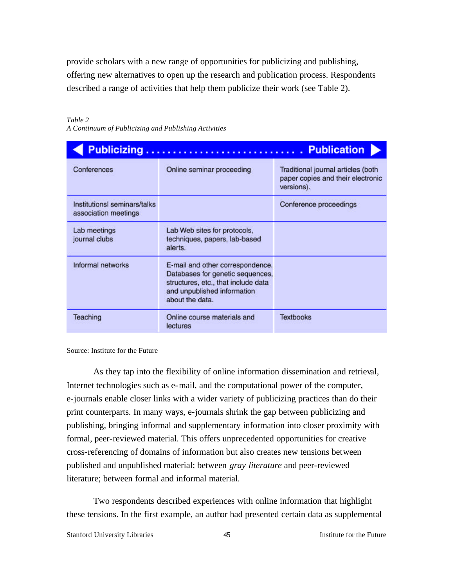provide scholars with a new range of opportunities for publicizing and publishing, offering new alternatives to open up the research and publication process. Respondents described a range of activities that help them publicize their work (see Table 2).

#### *Table 2 A Continuum of Publicizing and Publishing Activities*

| <b>Publication</b><br><b>Publicizing</b>             |                                                                                                                                                               |                                                                                       |
|------------------------------------------------------|---------------------------------------------------------------------------------------------------------------------------------------------------------------|---------------------------------------------------------------------------------------|
| Conferences                                          | Online seminar proceeding                                                                                                                                     | Traditional journal articles (both<br>paper copies and their electronic<br>versions). |
| InstitutionsI seminars/talks<br>association meetings |                                                                                                                                                               | Conference proceedings                                                                |
| Lab meetings<br>journal clubs                        | Lab Web sites for protocols,<br>techniques, papers, lab-based<br>alerts.                                                                                      |                                                                                       |
| Informal networks                                    | E-mail and other correspondence.<br>Databases for genetic sequences,<br>structures, etc., that include data<br>and unpublished information<br>about the data. |                                                                                       |
| Teaching                                             | Online course materials and<br>lectures                                                                                                                       | <b>Textbooks</b>                                                                      |

Source: Institute for the Future

As they tap into the flexibility of online information dissemination and retrieval, Internet technologies such as e-mail, and the computational power of the computer, e-journals enable closer links with a wider variety of publicizing practices than do their print counterparts. In many ways, e-journals shrink the gap between publicizing and publishing, bringing informal and supplementary information into closer proximity with formal, peer-reviewed material. This offers unprecedented opportunities for creative cross-referencing of domains of information but also creates new tensions between published and unpublished material; between *gray literature* and peer-reviewed literature; between formal and informal material.

Two respondents described experiences with online information that highlight these tensions. In the first example, an author had presented certain data as supplemental

Stanford University Libraries 45 100 45 Institute for the Future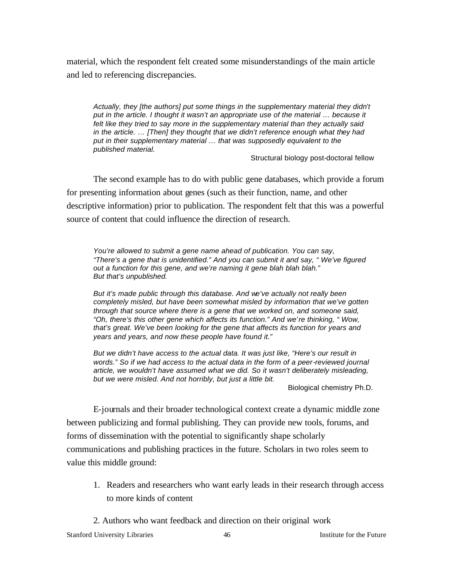material, which the respondent felt created some misunderstandings of the main article and led to referencing discrepancies.

*Actually, they [the authors] put some things in the supplementary material they didn't put in the article. I thought it wasn't an appropriate use of the material … because it felt like they tried to say more in the supplementary material than they actually said in the article. … [Then] they thought that we didn't reference enough what they had put in their supplementary material … that was supposedly equivalent to the published material.*

Structural biology post-doctoral fellow

The second example has to do with public gene databases, which provide a forum for presenting information about genes (such as their function, name, and other descriptive information) prior to publication. The respondent felt that this was a powerful source of content that could influence the direction of research.

*You're allowed to submit a gene name ahead of publication. You can say, "There's a gene that is unidentified." And you can submit it and say, " We've figured out a function for this gene, and we're naming it gene blah blah blah." But that's unpublished.*

*But it's made public through this database. And we've actually not really been completely misled, but have been somewhat misled by information that we've gotten through that source where there is a gene that we worked on, and someone said, "Oh, there's this other gene which affects its function." And we're thinking, " Wow, that's great. We've been looking for the gene that affects its function for years and years and years, and now these people have found it."*

*But we didn't have access to the actual data. It was just like, "Here's our result in words." So if we had access to the actual data in the form of a peer-reviewed journal article, we wouldn't have assumed what we did. So it wasn't deliberately misleading, but we were misled. And not horribly, but just a little bit.* 

Biological chemistry Ph.D.

E-journals and their broader technological context create a dynamic middle zone between publicizing and formal publishing. They can provide new tools, forums, and forms of dissemination with the potential to significantly shape scholarly communications and publishing practices in the future. Scholars in two roles seem to value this middle ground:

- 1. Readers and researchers who want early leads in their research through access to more kinds of content
- 2. Authors who want feedback and direction on their original work

Stanford University Libraries 16 16 16 16 16 16 16 16 17 18 18: 10 18: 10 18: 10 18: 10 19: 10 19: 10 19: 10 1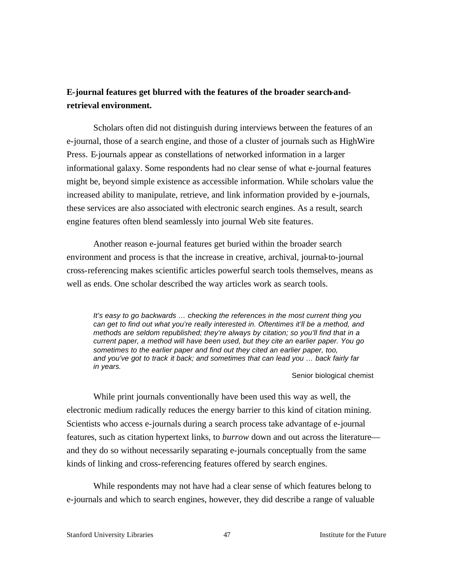## **E-journal features get blurred with the features of the broader search-andretrieval environment.**

Scholars often did not distinguish during interviews between the features of an e-journal, those of a search engine, and those of a cluster of journals such as HighWire Press. E-journals appear as constellations of networked information in a larger informational galaxy. Some respondents had no clear sense of what e-journal features might be, beyond simple existence as accessible information. While scholars value the increased ability to manipulate, retrieve, and link information provided by e-journals, these services are also associated with electronic search engines. As a result, search engine features often blend seamlessly into journal Web site features.

Another reason e-journal features get buried within the broader search environment and process is that the increase in creative, archival, journal-to-journal cross-referencing makes scientific articles powerful search tools themselves, means as well as ends. One scholar described the way articles work as search tools.

*It's easy to go backwards … checking the references in the most current thing you can get to find out what you're really interested in. Oftentimes it'll be a method, and methods are seldom republished; they're always by citation; so you'll find that in a current paper, a method will have been used, but they cite an earlier paper. You go sometimes to the earlier paper and find out they cited an earlier paper, too, and you've got to track it back; and sometimes that can lead you … back fairly far in years.* 

### Senior biological chemist

While print journals conventionally have been used this way as well, the electronic medium radically reduces the energy barrier to this kind of citation mining. Scientists who access e-journals during a search process take advantage of e-journal features, such as citation hypertext links, to *burrow* down and out across the literature and they do so without necessarily separating e-journals conceptually from the same kinds of linking and cross-referencing features offered by search engines.

While respondents may not have had a clear sense of which features belong to e-journals and which to search engines, however, they did describe a range of valuable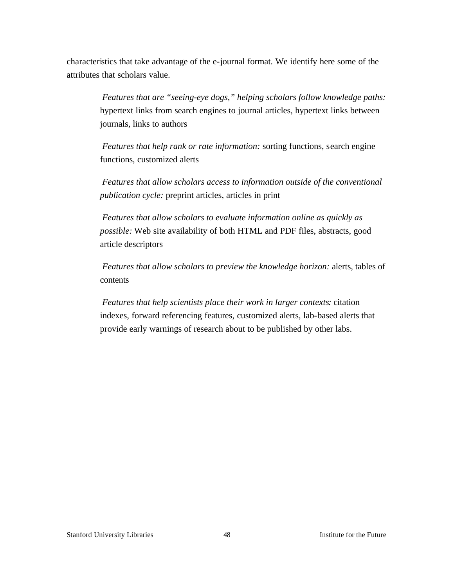characteristics that take advantage of the e-journal format. We identify here some of the attributes that scholars value.

> *Features that are "seeing-eye dogs," helping scholars follow knowledge paths:*  hypertext links from search engines to journal articles, hypertext links between journals, links to authors

 *Features that help rank or rate information:* sorting functions, search engine functions, customized alerts

 *Features that allow scholars access to information outside of the conventional publication cycle:* preprint articles, articles in print

 *Features that allow scholars to evaluate information online as quickly as possible:* Web site availability of both HTML and PDF files, abstracts, good article descriptors

 *Features that allow scholars to preview the knowledge horizon:* alerts, tables of contents

 *Features that help scientists place their work in larger contexts:* citation indexes, forward referencing features, customized alerts, lab-based alerts that provide early warnings of research about to be published by other labs.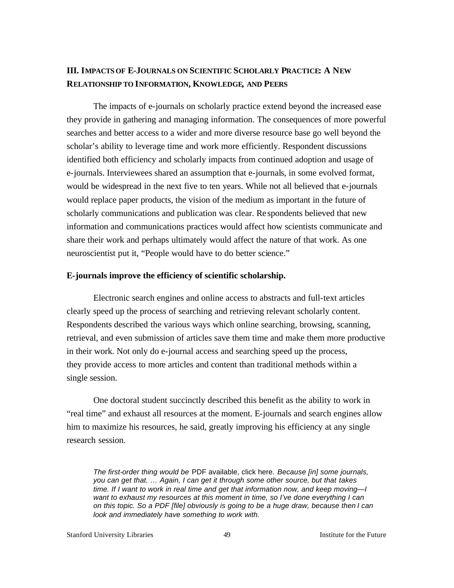# **III. IMPACTS OF E-JOURNALS ON SCIENTIFIC SCHOLARLY PRACTICE: A NEW RELATIONSHIP TO INFORMATION, KNOWLEDGE, AND PEERS**

The impacts of e-journals on scholarly practice extend beyond the increased ease they provide in gathering and managing information. The consequences of more powerful searches and better access to a wider and more diverse resource base go well beyond the scholar's ability to leverage time and work more efficiently. Respondent discussions identified both efficiency and scholarly impacts from continued adoption and usage of e-journals. Interviewees shared an assumption that e-journals, in some evolved format, would be widespread in the next five to ten years. While not all believed that e-journals would replace paper products, the vision of the medium as important in the future of scholarly communications and publication was clear. Re spondents believed that new information and communications practices would affect how scientists communicate and share their work and perhaps ultimately would affect the nature of that work. As one neuroscientist put it, "People would have to do better science."

## **E-journals improve the efficiency of scientific scholarship.**

Electronic search engines and online access to abstracts and full-text articles clearly speed up the process of searching and retrieving relevant scholarly content. Respondents described the various ways which online searching, browsing, scanning, retrieval, and even submission of articles save them time and make them more productive in their work. Not only do e-journal access and searching speed up the process, they provide access to more articles and content than traditional methods within a single session.

One doctoral student succinctly described this benefit as the ability to work in "real time" and exhaust all resources at the moment. E-journals and search engines allow him to maximize his resources, he said, greatly improving his efficiency at any single research session.

*The first-order thing would be* PDF available, click here. *Because [in] some journals, you can get that. … Again, I can get it through some other source, but that takes time. If I want to work in real time and get that information now, and keep moving—I want to exhaust my resources at this moment in time, so I've done everything I can on this topic. So a PDF [file] obviously is going to be a huge draw, because then I can look and immediately have something to work with.*

Stanford University Libraries 49 49 Institute for the Future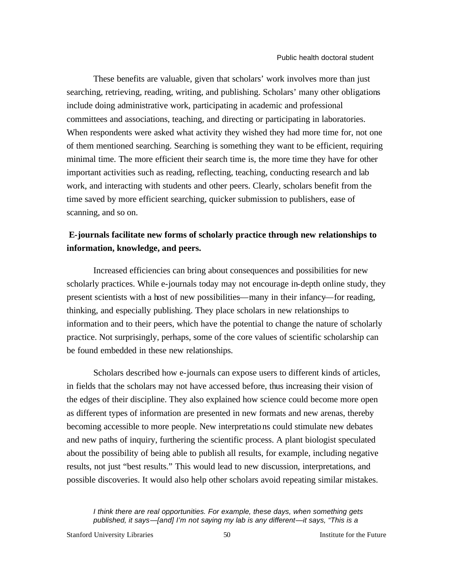These benefits are valuable, given that scholars' work involves more than just searching, retrieving, reading, writing, and publishing. Scholars' many other obligations include doing administrative work, participating in academic and professional committees and associations, teaching, and directing or participating in laboratories. When respondents were asked what activity they wished they had more time for, not one of them mentioned searching. Searching is something they want to be efficient, requiring minimal time. The more efficient their search time is, the more time they have for other important activities such as reading, reflecting, teaching, conducting research and lab work, and interacting with students and other peers. Clearly, scholars benefit from the time saved by more efficient searching, quicker submission to publishers, ease of scanning, and so on.

## **E-journals facilitate new forms of scholarly practice through new relationships to information, knowledge, and peers.**

Increased efficiencies can bring about consequences and possibilities for new scholarly practices. While e-journals today may not encourage in-depth online study, they present scientists with a host of new possibilities—many in their infancy—for reading, thinking, and especially publishing. They place scholars in new relationships to information and to their peers, which have the potential to change the nature of scholarly practice. Not surprisingly, perhaps, some of the core values of scientific scholarship can be found embedded in these new relationships.

Scholars described how e-journals can expose users to different kinds of articles, in fields that the scholars may not have accessed before, thus increasing their vision of the edges of their discipline. They also explained how science could become more open as different types of information are presented in new formats and new arenas, thereby becoming accessible to more people. New interpretations could stimulate new debates and new paths of inquiry, furthering the scientific process. A plant biologist speculated about the possibility of being able to publish all results, for example, including negative results, not just "best results." This would lead to new discussion, interpretations, and possible discoveries. It would also help other scholars avoid repeating similar mistakes.

*I think there are real opportunities. For example, these days, when something gets published, it says—[and] I'm not saying my lab is any different—it says, "This is a* 

Stanford University Libraries 50 50 Institute for the Future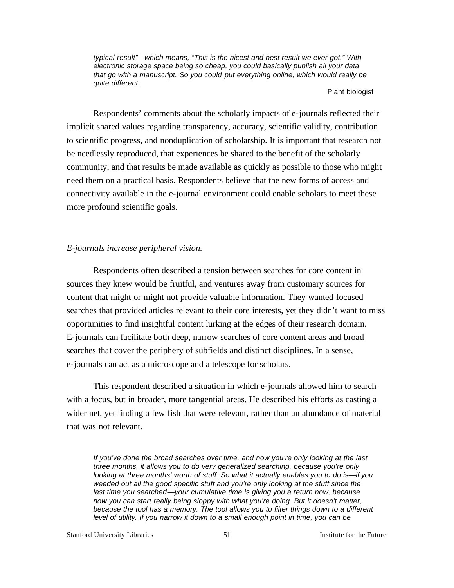*typical result"—which means, "This is the nicest and best result we ever got." With electronic storage space being so cheap, you could basically publish all your data that go with a manuscript. So you could put everything online, which would really be quite different.*

Plant biologist

Respondents' comments about the scholarly impacts of e-journals reflected their implicit shared values regarding transparency, accuracy, scientific validity, contribution to scientific progress, and nonduplication of scholarship. It is important that research not be needlessly reproduced, that experiences be shared to the benefit of the scholarly community, and that results be made available as quickly as possible to those who might need them on a practical basis. Respondents believe that the new forms of access and connectivity available in the e-journal environment could enable scholars to meet these more profound scientific goals.

## *E-journals increase peripheral vision.*

Respondents often described a tension between searches for core content in sources they knew would be fruitful, and ventures away from customary sources for content that might or might not provide valuable information. They wanted focused searches that provided articles relevant to their core interests, yet they didn't want to miss opportunities to find insightful content lurking at the edges of their research domain. E-journals can facilitate both deep, narrow searches of core content areas and broad searches that cover the periphery of subfields and distinct disciplines. In a sense, e-journals can act as a microscope and a telescope for scholars.

This respondent described a situation in which e-journals allowed him to search with a focus, but in broader, more tangential areas. He described his efforts as casting a wider net, yet finding a few fish that were relevant, rather than an abundance of material that was not relevant.

*If you've done the broad searches over time, and now you're only looking at the last three months, it allows you to do very generalized searching, because you're only looking at three months' worth of stuff. So what it actually enables you to do is—if you weeded out all the good specific stuff and you're only looking at the stuff since the last time you searched—your cumulative time is giving you a return now, because now you can start really being sloppy with what you're doing. But it doesn't matter, because the tool has a memory. The tool allows you to filter things down to a different level of utility. If you narrow it down to a small enough point in time, you can be* 

Stanford University Libraries 51 51 Institute for the Future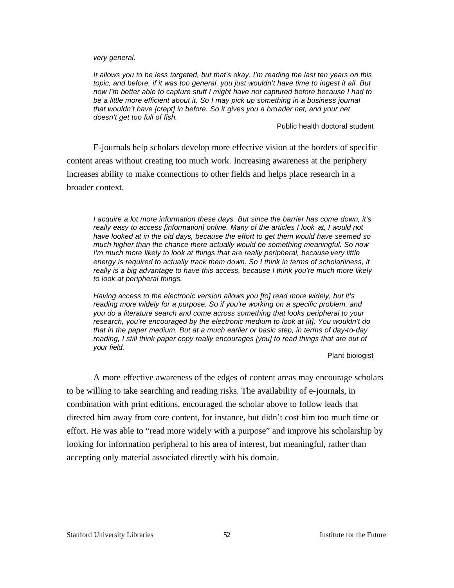*very general.* 

*It allows you to be less targeted, but that's okay. I'm reading the last ten years on this topic, and before, if it was too general, you just wouldn't have time to ingest it all. But now I'm better able to capture stuff I might have not captured before because I had to*  be a little more efficient about it. So I may pick up something in a business journal *that wouldn't have [crept] in before. So it gives you a broader net, and your net doesn't get too full of fish.*

Public health doctoral student

E-journals help scholars develop more effective vision at the borders of specific content areas without creating too much work. Increasing awareness at the periphery increases ability to make connections to other fields and helps place research in a broader context.

*I acquire a lot more information these days. But since the barrier has come down, it's really easy to access [information] online. Many of the articles I look at, I would not have looked at in the old days, because the effort to get them would have seemed so much higher than the chance there actually would be something meaningful. So now I'm much more likely to look at things that are really peripheral, because very little energy is required to actually track them down. So I think in terms of scholarliness, it really is a big advantage to have this access, because I think you're much more likely to look at peripheral things.*

*Having access to the electronic version allows you [to] read more widely, but it's reading more widely for a purpose. So if you're working on a specific problem, and you do a literature search and come across something that looks peripheral to your research, you're encouraged by the electronic medium to look at [it]. You wouldn't do that in the paper medium. But at a much earlier or basic step, in terms of day-to-day reading, I still think paper copy really encourages [you] to read things that are out of your field.*

Plant biologist

A more effective awareness of the edges of content areas may encourage scholars to be willing to take searching and reading risks. The availability of e-journals, in combination with print editions, encouraged the scholar above to follow leads that directed him away from core content, for instance, but didn't cost him too much time or effort. He was able to "read more widely with a purpose" and improve his scholarship by looking for information peripheral to his area of interest, but meaningful, rather than accepting only material associated directly with his domain.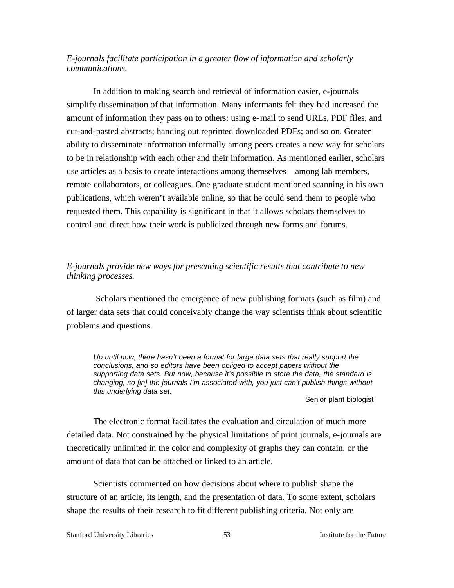*E-journals facilitate participation in a greater flow of information and scholarly communications.*

In addition to making search and retrieval of information easier, e-journals simplify dissemination of that information. Many informants felt they had increased the amount of information they pass on to others: using e-mail to send URLs, PDF files, and cut-and-pasted abstracts; handing out reprinted downloaded PDFs; and so on. Greater ability to disseminate information informally among peers creates a new way for scholars to be in relationship with each other and their information. As mentioned earlier, scholars use articles as a basis to create interactions among themselves—among lab members, remote collaborators, or colleagues. One graduate student mentioned scanning in his own publications, which weren't available online, so that he could send them to people who requested them. This capability is significant in that it allows scholars themselves to control and direct how their work is publicized through new forms and forums.

## *E-journals provide new ways for presenting scientific results that contribute to new thinking processes.*

 Scholars mentioned the emergence of new publishing formats (such as film) and of larger data sets that could conceivably change the way scientists think about scientific problems and questions.

*Up until now, there hasn't been a format for large data sets that really support the conclusions, and so editors have been obliged to accept papers without the supporting data sets. But now, because it's possible to store the data, the standard is changing, so [in] the journals I'm associated with, you just can't publish things without this underlying data set.*

#### Senior plant biologist

The electronic format facilitates the evaluation and circulation of much more detailed data. Not constrained by the physical limitations of print journals, e-journals are theoretically unlimited in the color and complexity of graphs they can contain, or the amount of data that can be attached or linked to an article.

Scientists commented on how decisions about where to publish shape the structure of an article, its length, and the presentation of data. To some extent, scholars shape the results of their research to fit different publishing criteria. Not only are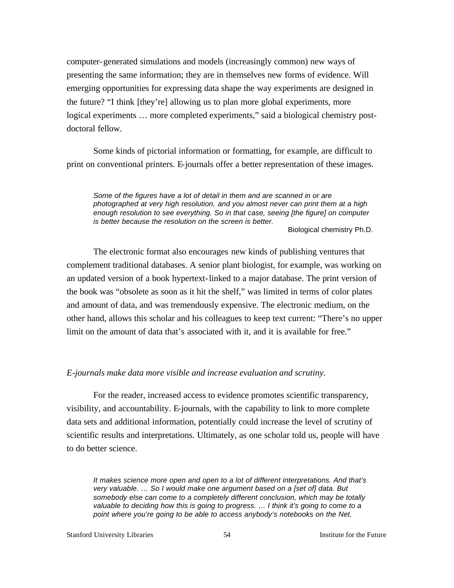computer-generated simulations and models (increasingly common) new ways of presenting the same information; they are in themselves new forms of evidence. Will emerging opportunities for expressing data shape the way experiments are designed in the future? "I think [they're] allowing us to plan more global experiments, more logical experiments … more completed experiments," said a biological chemistry postdoctoral fellow.

Some kinds of pictorial information or formatting, for example, are difficult to print on conventional printers. E-journals offer a better representation of these images.

*Some of the figures have a lot of detail in them and are scanned in or are photographed at very high resolution, and you almost never can print them at a high enough resolution to see everything. So in that case, seeing [the figure] on computer is better because the resolution on the screen is better.* Biological chemistry Ph.D.

The electronic format also encourages new kinds of publishing ventures that complement traditional databases. A senior plant biologist, for example, was working on an updated version of a book hypertext-linked to a major database. The print version of the book was "obsolete as soon as it hit the shelf," was limited in terms of color plates and amount of data, and was tremendously expensive. The electronic medium, on the other hand, allows this scholar and his colleagues to keep text current: "There's no upper limit on the amount of data that's associated with it, and it is available for free."

## *E-journals make data more visible and increase evaluation and scrutiny.*

For the reader, increased access to evidence promotes scientific transparency, visibility, and accountability. E-journals, with the capability to link to more complete data sets and additional information, potentially could increase the level of scrutiny of scientific results and interpretations. Ultimately, as one scholar told us, people will have to do better science.

*It makes science more open and open to a lot of different interpretations. And that's very valuable. … So I would make one argument based on a [set of] data. But somebody else can come to a completely different conclusion, which may be totally valuable to deciding how this is going to progress. … I think it's going to come to a point where you're going to be able to access anybody's notebooks on the Net.*

Stanford University Libraries 54 54 Institute for the Future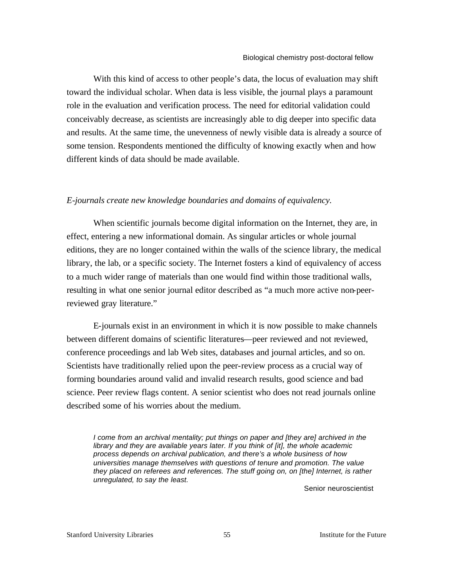With this kind of access to other people's data, the locus of evaluation may shift toward the individual scholar. When data is less visible, the journal plays a paramount role in the evaluation and verification process. The need for editorial validation could conceivably decrease, as scientists are increasingly able to dig deeper into specific data and results. At the same time, the unevenness of newly visible data is already a source of some tension. Respondents mentioned the difficulty of knowing exactly when and how different kinds of data should be made available.

## *E-journals create new knowledge boundaries and domains of equivalency.*

When scientific journals become digital information on the Internet, they are, in effect, entering a new informational domain. As singular articles or whole journal editions, they are no longer contained within the walls of the science library, the medical library, the lab, or a specific society. The Internet fosters a kind of equivalency of access to a much wider range of materials than one would find within those traditional walls, resulting in what one senior journal editor described as "a much more active non-peerreviewed gray literature."

E-journals exist in an environment in which it is now possible to make channels between different domains of scientific literatures—peer reviewed and not reviewed, conference proceedings and lab Web sites, databases and journal articles, and so on. Scientists have traditionally relied upon the peer-review process as a crucial way of forming boundaries around valid and invalid research results, good science and bad science. Peer review flags content. A senior scientist who does not read journals online described some of his worries about the medium.

*I come from an archival mentality; put things on paper and [they are] archived in the library and they are available years later. If you think of [it], the whole academic process depends on archival publication, and there's a whole business of how universities manage themselves with questions of tenure and promotion. The value they placed on referees and references. The stuff going on, on [the] Internet, is rather unregulated, to say the least.* 

Senior neuroscientist

Stanford University Libraries 55 55 Institute for the Future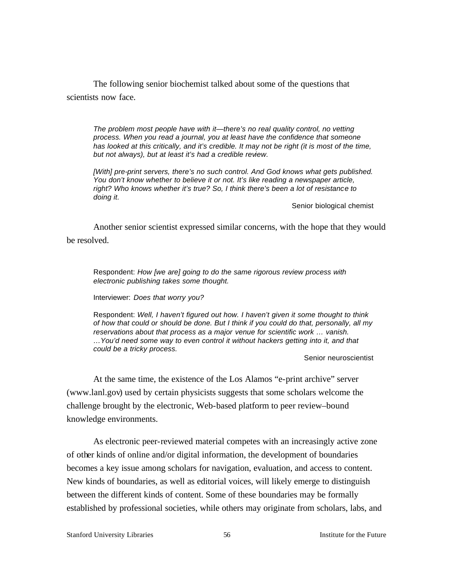The following senior biochemist talked about some of the questions that scientists now face.

*The problem most people have with it—there's no real quality control, no vetting process. When you read a journal, you at least have the confidence that someone has looked at this critically, and it's credible. It may not be right (it is most of the time, but not always), but at least it's had a credible review.* 

[With] pre-print servers, there's no such control. And God knows what gets published. *You don't know whether to believe it or not. It's like reading a newspaper article, right? Who knows whether it's true? So, I think there's been a lot of resistance to doing it.*

Senior biological chemist

Another senior scientist expressed similar concerns, with the hope that they would be resolved.

Respondent: *How [we are] going to do the same rigorous review process with electronic publishing takes some thought.*

Interviewer: *Does that worry you?*

Respondent: *Well, I haven't figured out how. I haven't given it some thought to think of how that could or should be done. But I think if you could do that, personally, all my reservations about that process as a major venue for scientific work … vanish. …You'd need some way to even control it without hackers getting into it, and that could be a tricky process.* 

Senior neuroscientist

At the same time, the existence of the Los Alamos "e-print archive" server (www.lanl.gov) used by certain physicists suggests that some scholars welcome the challenge brought by the electronic, Web-based platform to peer review–bound knowledge environments.

As electronic peer-reviewed material competes with an increasingly active zone of other kinds of online and/or digital information, the development of boundaries becomes a key issue among scholars for navigation, evaluation, and access to content. New kinds of boundaries, as well as editorial voices, will likely emerge to distinguish between the different kinds of content. Some of these boundaries may be formally established by professional societies, while others may originate from scholars, labs, and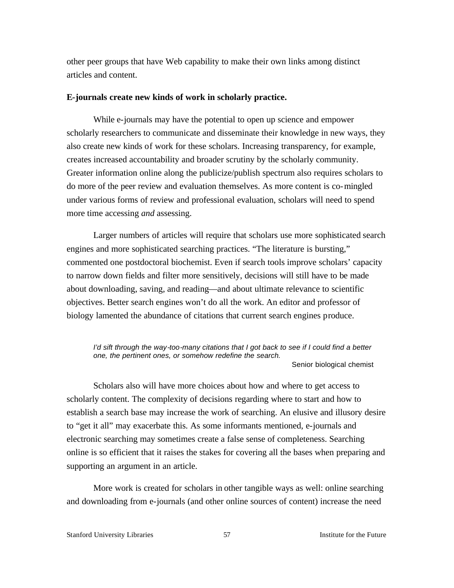other peer groups that have Web capability to make their own links among distinct articles and content.

## **E-journals create new kinds of work in scholarly practice.**

While e-journals may have the potential to open up science and empower scholarly researchers to communicate and disseminate their knowledge in new ways, they also create new kinds of work for these scholars. Increasing transparency, for example, creates increased accountability and broader scrutiny by the scholarly community. Greater information online along the publicize/publish spectrum also requires scholars to do more of the peer review and evaluation themselves. As more content is co-mingled under various forms of review and professional evaluation, scholars will need to spend more time accessing *and* assessing.

Larger numbers of articles will require that scholars use more sophisticated search engines and more sophisticated searching practices. "The literature is bursting," commented one postdoctoral biochemist. Even if search tools improve scholars' capacity to narrow down fields and filter more sensitively, decisions will still have to be made about downloading, saving, and reading—and about ultimate relevance to scientific objectives. Better search engines won't do all the work. An editor and professor of biology lamented the abundance of citations that current search engines produce.

*I'd sift through the way-too-many citations that I got back to see if I could find a better one, the pertinent ones, or somehow redefine the search.*  Senior biological chemist

Scholars also will have more choices about how and where to get access to scholarly content. The complexity of decisions regarding where to start and how to establish a search base may increase the work of searching. An elusive and illusory desire to "get it all" may exacerbate this. As some informants mentioned, e-journals and electronic searching may sometimes create a false sense of completeness. Searching online is so efficient that it raises the stakes for covering all the bases when preparing and supporting an argument in an article.

More work is created for scholars in other tangible ways as well: online searching and downloading from e-journals (and other online sources of content) increase the need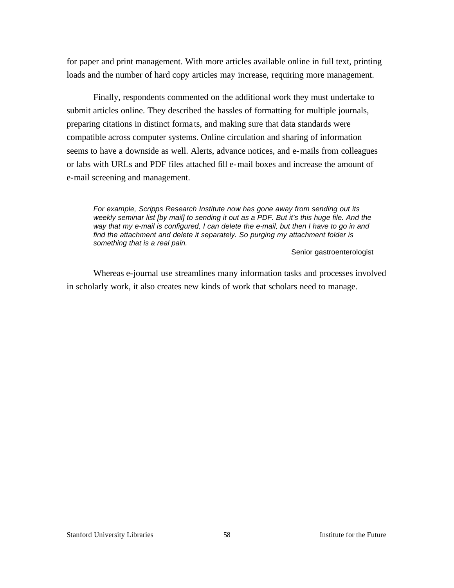for paper and print management. With more articles available online in full text, printing loads and the number of hard copy articles may increase, requiring more management.

Finally, respondents commented on the additional work they must undertake to submit articles online. They described the hassles of formatting for multiple journals, preparing citations in distinct forma ts, and making sure that data standards were compatible across computer systems. Online circulation and sharing of information seems to have a downside as well. Alerts, advance notices, and e-mails from colleagues or labs with URLs and PDF files attached fill e-mail boxes and increase the amount of e-mail screening and management.

*For example, Scripps Research Institute now has gone away from sending out its weekly seminar list [by mail] to sending it out as a PDF. But it's this huge file. And the way that my e-mail is configured, I can delete the e-mail, but then I have to go in and find the attachment and delete it separately. So purging my attachment folder is something that is a real pain.*

Senior gastroenterologist

Whereas e-journal use streamlines many information tasks and processes involved in scholarly work, it also creates new kinds of work that scholars need to manage.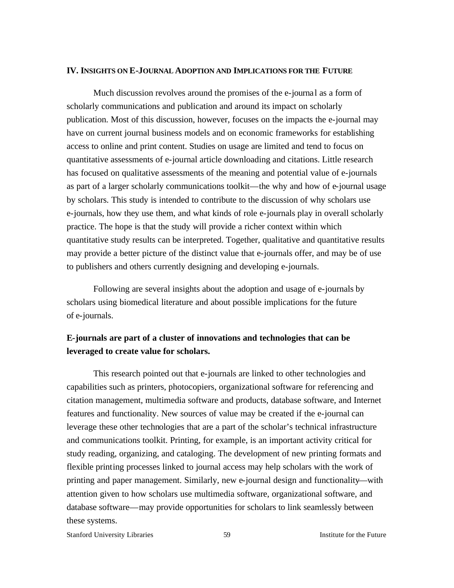### **IV. INSIGHTS ON E-JOURNAL ADOPTION AND IMPLICATIONS FOR THE FUTURE**

Much discussion revolves around the promises of the e-journal as a form of scholarly communications and publication and around its impact on scholarly publication. Most of this discussion, however, focuses on the impacts the e-journal may have on current journal business models and on economic frameworks for establishing access to online and print content. Studies on usage are limited and tend to focus on quantitative assessments of e-journal article downloading and citations. Little research has focused on qualitative assessments of the meaning and potential value of e-journals as part of a larger scholarly communications toolkit—the why and how of e-journal usage by scholars. This study is intended to contribute to the discussion of why scholars use e-journals, how they use them, and what kinds of role e-journals play in overall scholarly practice. The hope is that the study will provide a richer context within which quantitative study results can be interpreted. Together, qualitative and quantitative results may provide a better picture of the distinct value that e-journals offer, and may be of use to publishers and others currently designing and developing e-journals.

Following are several insights about the adoption and usage of e-journals by scholars using biomedical literature and about possible implications for the future of e-journals.

# **E-journals are part of a cluster of innovations and technologies that can be leveraged to create value for scholars.**

This research pointed out that e-journals are linked to other technologies and capabilities such as printers, photocopiers, organizational software for referencing and citation management, multimedia software and products, database software, and Internet features and functionality. New sources of value may be created if the e-journal can leverage these other technologies that are a part of the scholar's technical infrastructure and communications toolkit. Printing, for example, is an important activity critical for study reading, organizing, and cataloging. The development of new printing formats and flexible printing processes linked to journal access may help scholars with the work of printing and paper management. Similarly, new e-journal design and functionality—with attention given to how scholars use multimedia software, organizational software, and database software—may provide opportunities for scholars to link seamlessly between these systems.

Stanford University Libraries 59 59 Institute for the Future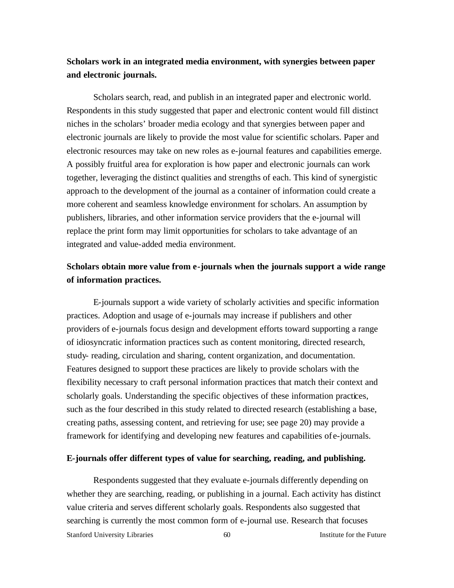# **Scholars work in an integrated media environment, with synergies between paper and electronic journals.**

Scholars search, read, and publish in an integrated paper and electronic world. Respondents in this study suggested that paper and electronic content would fill distinct niches in the scholars' broader media ecology and that synergies between paper and electronic journals are likely to provide the most value for scientific scholars. Paper and electronic resources may take on new roles as e-journal features and capabilities emerge. A possibly fruitful area for exploration is how paper and electronic journals can work together, leveraging the distinct qualities and strengths of each. This kind of synergistic approach to the development of the journal as a container of information could create a more coherent and seamless knowledge environment for scholars. An assumption by publishers, libraries, and other information service providers that the e-journal will replace the print form may limit opportunities for scholars to take advantage of an integrated and value-added media environment.

# **Scholars obtain more value from e-journals when the journals support a wide range of information practices.**

E-journals support a wide variety of scholarly activities and specific information practices. Adoption and usage of e-journals may increase if publishers and other providers of e-journals focus design and development efforts toward supporting a range of idiosyncratic information practices such as content monitoring, directed research, study- reading, circulation and sharing, content organization, and documentation. Features designed to support these practices are likely to provide scholars with the flexibility necessary to craft personal information practices that match their context and scholarly goals. Understanding the specific objectives of these information practices, such as the four described in this study related to directed research (establishing a base, creating paths, assessing content, and retrieving for use; see page 20) may provide a framework for identifying and developing new features and capabilities of e-journals.

## **E-journals offer different types of value for searching, reading, and publishing.**

Stanford University Libraries 60 60 Institute for the Future Respondents suggested that they evaluate e-journals differently depending on whether they are searching, reading, or publishing in a journal. Each activity has distinct value criteria and serves different scholarly goals. Respondents also suggested that searching is currently the most common form of e-journal use. Research that focuses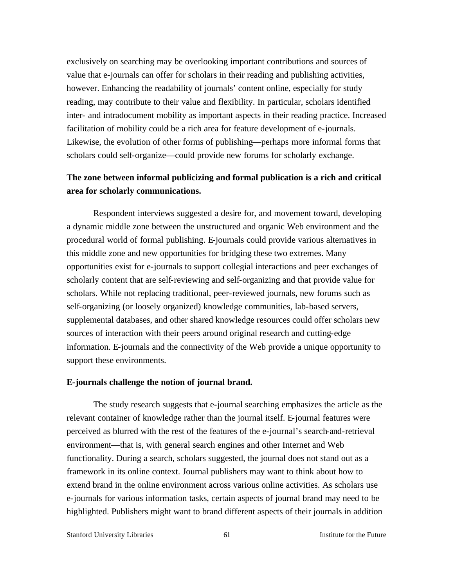exclusively on searching may be overlooking important contributions and sources of value that e-journals can offer for scholars in their reading and publishing activities, however. Enhancing the readability of journals' content online, especially for study reading, may contribute to their value and flexibility. In particular, scholars identified inter- and intradocument mobility as important aspects in their reading practice. Increased facilitation of mobility could be a rich area for feature development of e-journals. Likewise, the evolution of other forms of publishing—perhaps more informal forms that scholars could self-organize—could provide new forums for scholarly exchange.

# **The zone between informal publicizing and formal publication is a rich and critical area for scholarly communications.**

Respondent interviews suggested a desire for, and movement toward, developing a dynamic middle zone between the unstructured and organic Web environment and the procedural world of formal publishing. E-journals could provide various alternatives in this middle zone and new opportunities for bridging these two extremes. Many opportunities exist for e-journals to support collegial interactions and peer exchanges of scholarly content that are self-reviewing and self-organizing and that provide value for scholars. While not replacing traditional, peer-reviewed journals, new forums such as self-organizing (or loosely organized) knowledge communities, lab-based servers, supplemental databases, and other shared knowledge resources could offer scholars new sources of interaction with their peers around original research and cutting-edge information. E-journals and the connectivity of the Web provide a unique opportunity to support these environments.

#### **E-journals challenge the notion of journal brand.**

The study research suggests that e-journal searching emphasizes the article as the relevant container of knowledge rather than the journal itself. E-journal features were perceived as blurred with the rest of the features of the e-journal's search-and-retrieval environment—that is, with general search engines and other Internet and Web functionality. During a search, scholars suggested, the journal does not stand out as a framework in its online context. Journal publishers may want to think about how to extend brand in the online environment across various online activities. As scholars use e-journals for various information tasks, certain aspects of journal brand may need to be highlighted. Publishers might want to brand different aspects of their journals in addition

Stanford University Libraries 61 61 and 1990 Institute for the Future future for the Future of the Future for the Future of the Future of the Future of the Future of the Future of the Future of the Future of the Future of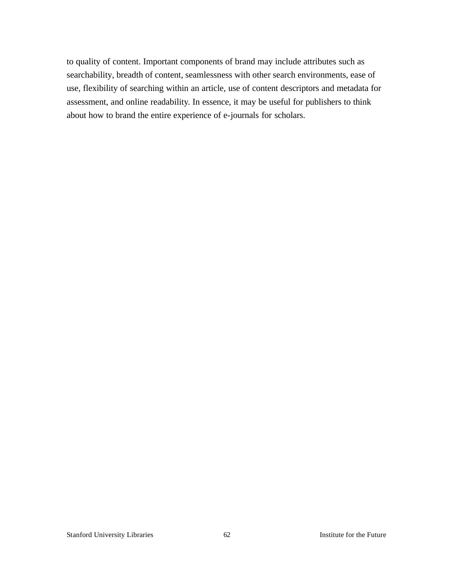to quality of content. Important components of brand may include attributes such as searchability, breadth of content, seamlessness with other search environments, ease of use, flexibility of searching within an article, use of content descriptors and metadata for assessment, and online readability. In essence, it may be useful for publishers to think about how to brand the entire experience of e-journals for scholars.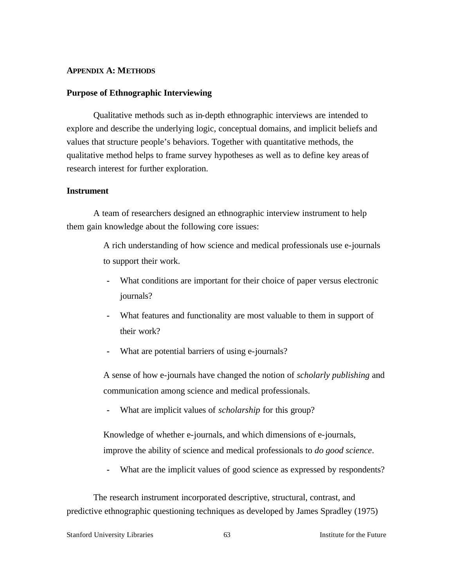#### **APPENDIX A: METHODS**

#### **Purpose of Ethnographic Interviewing**

Qualitative methods such as in-depth ethnographic interviews are intended to explore and describe the underlying logic, conceptual domains, and implicit beliefs and values that structure people's behaviors. Together with quantitative methods, the qualitative method helps to frame survey hypotheses as well as to define key areas of research interest for further exploration.

## **Instrument**

A team of researchers designed an ethnographic interview instrument to help them gain knowledge about the following core issues:

> A rich understanding of how science and medical professionals use e-journals to support their work.

- **-** What conditions are important for their choice of paper versus electronic journals?
- **-** What features and functionality are most valuable to them in support of their work?
- What are potential barriers of using e-journals?

A sense of how e-journals have changed the notion of *scholarly publishing* and communication among science and medical professionals.

**-** What are implicit values of *scholarship* for this group?

Knowledge of whether e-journals, and which dimensions of e-journals, improve the ability of science and medical professionals to *do good science*.

What are the implicit values of good science as expressed by respondents?

The research instrument incorporated descriptive, structural, contrast, and predictive ethnographic questioning techniques as developed by James Spradley (1975)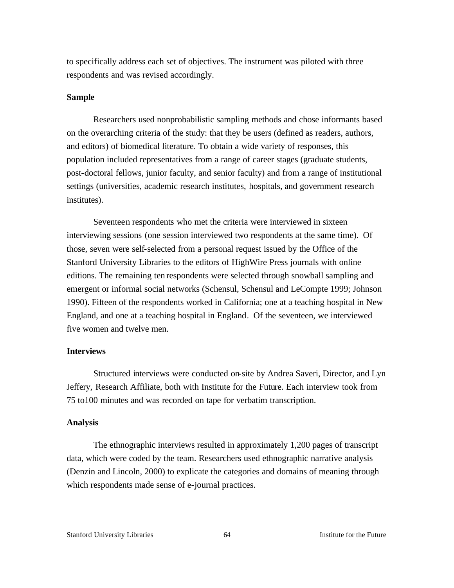to specifically address each set of objectives. The instrument was piloted with three respondents and was revised accordingly.

## **Sample**

Researchers used nonprobabilistic sampling methods and chose informants based on the overarching criteria of the study: that they be users (defined as readers, authors, and editors) of biomedical literature. To obtain a wide variety of responses, this population included representatives from a range of career stages (graduate students, post-doctoral fellows, junior faculty, and senior faculty) and from a range of institutional settings (universities, academic research institutes, hospitals, and government research institutes).

Seventeen respondents who met the criteria were interviewed in sixteen interviewing sessions (one session interviewed two respondents at the same time). Of those, seven were self-selected from a personal request issued by the Office of the Stanford University Libraries to the editors of HighWire Press journals with online editions. The remaining ten respondents were selected through snowball sampling and emergent or informal social networks (Schensul, Schensul and LeCompte 1999; Johnson 1990). Fifteen of the respondents worked in California; one at a teaching hospital in New England, and one at a teaching hospital in England. Of the seventeen, we interviewed five women and twelve men.

## **Interviews**

Structured interviews were conducted on-site by Andrea Saveri, Director, and Lyn Jeffery, Research Affiliate, both with Institute for the Future. Each interview took from 75 to100 minutes and was recorded on tape for verbatim transcription.

#### **Analysis**

The ethnographic interviews resulted in approximately 1,200 pages of transcript data, which were coded by the team. Researchers used ethnographic narrative analysis (Denzin and Lincoln, 2000) to explicate the categories and domains of meaning through which respondents made sense of e-journal practices.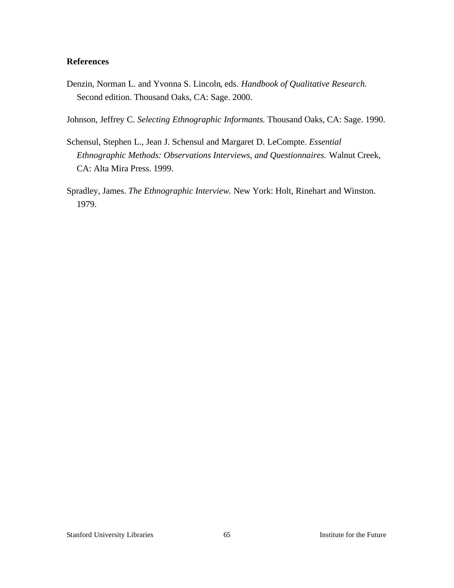## **References**

Denzin, Norman L. and Yvonna S. Lincoln, eds. *Handbook of Qualitative Research.* Second edition. Thousand Oaks, CA: Sage. 2000.

Johnson, Jeffrey C. *Selecting Ethnographic Informants.* Thousand Oaks, CA: Sage. 1990.

- Schensul, Stephen L., Jean J. Schensul and Margaret D. LeCompte. *Essential Ethnographic Methods: Observations Interviews, and Questionnaires.* Walnut Creek, CA: Alta Mira Press. 1999.
- Spradley, James. *The Ethnographic Interview.* New York: Holt, Rinehart and Winston. 1979.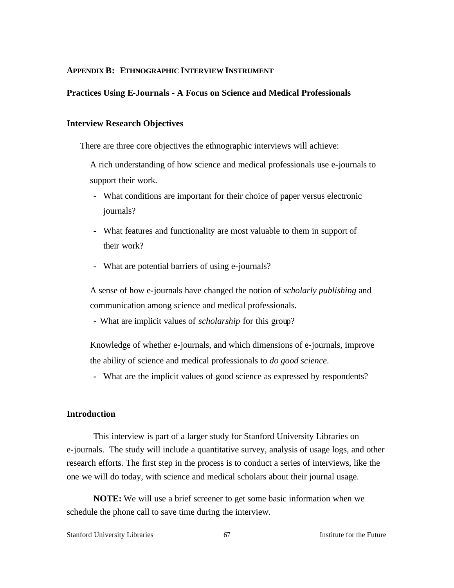## **APPENDIX B: ETHNOGRAPHIC INTERVIEW INSTRUMENT**

## **Practices Using E-Journals - A Focus on Science and Medical Professionals**

### **Interview Research Objectives**

There are three core objectives the ethnographic interviews will achieve:

A rich understanding of how science and medical professionals use e-journals to support their work.

- **-** What conditions are important for their choice of paper versus electronic journals?
- **-** What features and functionality are most valuable to them in support of their work?
- **-** What are potential barriers of using e-journals?

A sense of how e-journals have changed the notion of *scholarly publishing* and communication among science and medical professionals.

**-** What are implicit values of *scholarship* for this group?

Knowledge of whether e-journals, and which dimensions of e-journals, improve the ability of science and medical professionals to *do good science*.

**-** What are the implicit values of good science as expressed by respondents?

## **Introduction**

This interview is part of a larger study for Stanford University Libraries on e-journals. The study will include a quantitative survey, analysis of usage logs, and other research efforts. The first step in the process is to conduct a series of interviews, like the one we will do today, with science and medical scholars about their journal usage.

**NOTE:** We will use a brief screener to get some basic information when we schedule the phone call to save time during the interview.

Stanford University Libraries 67 67 Institute for the Future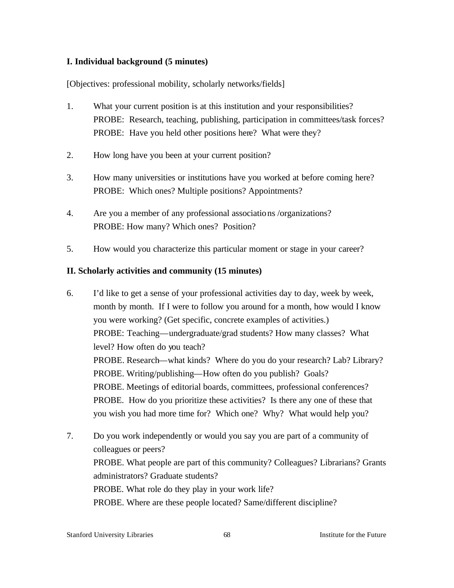## **I. Individual background (5 minutes)**

[Objectives: professional mobility, scholarly networks/fields]

- 1. What your current position is at this institution and your responsibilities? PROBE: Research, teaching, publishing, participation in committees/task forces? PROBE: Have you held other positions here? What were they?
- 2. How long have you been at your current position?
- 3. How many universities or institutions have you worked at before coming here? PROBE: Which ones? Multiple positions? Appointments?
- 4. Are you a member of any professional associations /organizations? PROBE: How many? Which ones? Position?
- 5. How would you characterize this particular moment or stage in your career?

## **II. Scholarly activities and community (15 minutes)**

- 6. I'd like to get a sense of your professional activities day to day, week by week, month by month. If I were to follow you around for a month, how would I know you were working? (Get specific, concrete examples of activities.) PROBE: Teaching—undergraduate/grad students? How many classes? What level? How often do you teach? PROBE. Research—what kinds? Where do you do your research? Lab? Library? PROBE. Writing/publishing—How often do you publish? Goals? PROBE. Meetings of editorial boards, committees, professional conferences? PROBE. How do you prioritize these activities? Is there any one of these that you wish you had more time for? Which one? Why? What would help you?
- 7. Do you work independently or would you say you are part of a community of colleagues or peers? PROBE. What people are part of this community? Colleagues? Librarians? Grants administrators? Graduate students? PROBE. What role do they play in your work life? PROBE. Where are these people located? Same/different discipline?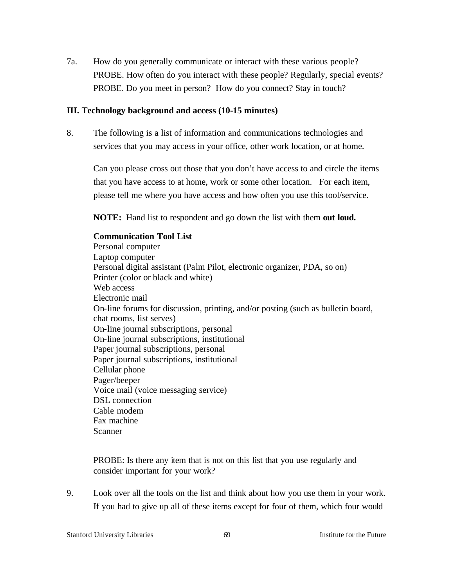7a. How do you generally communicate or interact with these various people? PROBE. How often do you interact with these people? Regularly, special events? PROBE. Do you meet in person? How do you connect? Stay in touch?

## **III. Technology background and access (10-15 minutes)**

8. The following is a list of information and communications technologies and services that you may access in your office, other work location, or at home.

Can you please cross out those that you don't have access to and circle the items that you have access to at home, work or some other location. For each item, please tell me where you have access and how often you use this tool/service.

**NOTE:** Hand list to respondent and go down the list with them **out loud.**

## **Communication Tool List**

Personal computer Laptop computer Personal digital assistant (Palm Pilot, electronic organizer, PDA, so on) Printer (color or black and white) Web access Electronic mail On-line forums for discussion, printing, and/or posting (such as bulletin board, chat rooms, list serves) On-line journal subscriptions, personal On-line journal subscriptions, institutional Paper journal subscriptions, personal Paper journal subscriptions, institutional Cellular phone Pager/beeper Voice mail (voice messaging service) DSL connection Cable modem Fax machine Scanner

PROBE: Is there any item that is not on this list that you use regularly and consider important for your work?

9. Look over all the tools on the list and think about how you use them in your work. If you had to give up all of these items except for four of them, which four would

Stanford University Libraries 69 69 Institute for the Future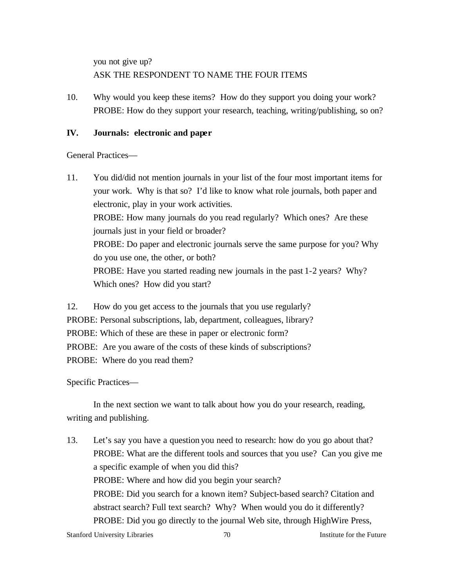you not give up? ASK THE RESPONDENT TO NAME THE FOUR ITEMS

10. Why would you keep these items? How do they support you doing your work? PROBE: How do they support your research, teaching, writing/publishing, so on?

## **IV. Journals: electronic and paper**

General Practices—

11. You did/did not mention journals in your list of the four most important items for your work. Why is that so? I'd like to know what role journals, both paper and electronic, play in your work activities. PROBE: How many journals do you read regularly? Which ones? Are these journals just in your field or broader? PROBE: Do paper and electronic journals serve the same purpose for you? Why do you use one, the other, or both? PROBE: Have you started reading new journals in the past 1-2 years? Why? Which ones? How did you start?

12. How do you get access to the journals that you use regularly? PROBE: Personal subscriptions, lab, department, colleagues, library? PROBE: Which of these are these in paper or electronic form? PROBE: Are you aware of the costs of these kinds of subscriptions? PROBE: Where do you read them?

Specific Practices—

In the next section we want to talk about how you do your research, reading, writing and publishing.

13. Let's say you have a question you need to research: how do you go about that? PROBE: What are the different tools and sources that you use? Can you give me a specific example of when you did this? PROBE: Where and how did you begin your search? PROBE: Did you search for a known item? Subject-based search? Citation and abstract search? Full text search? Why? When would you do it differently? PROBE: Did you go directly to the journal Web site, through HighWire Press,

Stanford University Libraries 70 Institute for the Future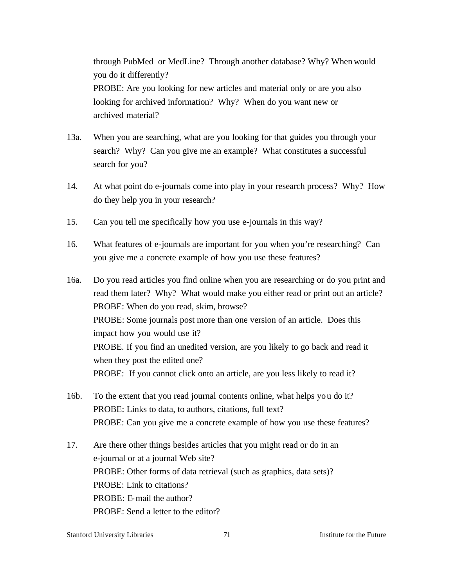through PubMed or MedLine? Through another database? Why? When would you do it differently? PROBE: Are you looking for new articles and material only or are you also looking for archived information? Why? When do you want new or archived material?

- 13a. When you are searching, what are you looking for that guides you through your search? Why? Can you give me an example? What constitutes a successful search for you?
- 14. At what point do e-journals come into play in your research process? Why? How do they help you in your research?
- 15. Can you tell me specifically how you use e-journals in this way?
- 16. What features of e-journals are important for you when you're researching? Can you give me a concrete example of how you use these features?
- 16a. Do you read articles you find online when you are researching or do you print and read them later? Why? What would make you either read or print out an article? PROBE: When do you read, skim, browse? PROBE: Some journals post more than one version of an article. Does this impact how you would use it? PROBE. If you find an unedited version, are you likely to go back and read it when they post the edited one? PROBE: If you cannot click onto an article, are you less likely to read it?
- 16b. To the extent that you read journal contents online, what helps you do it? PROBE: Links to data, to authors, citations, full text? PROBE: Can you give me a concrete example of how you use these features?
- 17. Are there other things besides articles that you might read or do in an e-journal or at a journal Web site? PROBE: Other forms of data retrieval (such as graphics, data sets)? PROBE: Link to citations? PROBE: E-mail the author? PROBE: Send a letter to the editor?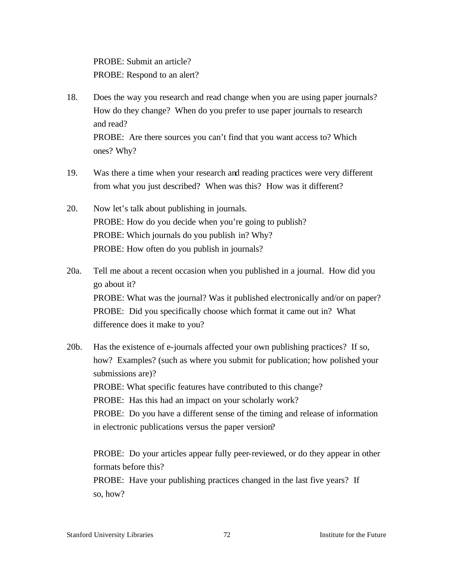PROBE: Submit an article? PROBE: Respond to an alert?

- 18. Does the way you research and read change when you are using paper journals? How do they change? When do you prefer to use paper journals to research and read? PROBE: Are there sources you can't find that you want access to? Which ones? Why?
- 19. Was there a time when your research and reading practices were very different from what you just described? When was this? How was it different?
- 20. Now let's talk about publishing in journals. PROBE: How do you decide when you're going to publish? PROBE: Which journals do you publish in? Why? PROBE: How often do you publish in journals?
- 20a. Tell me about a recent occasion when you published in a journal. How did you go about it? PROBE: What was the journal? Was it published electronically and/or on paper? PROBE: Did you specifically choose which format it came out in? What difference does it make to you?
- 20b. Has the existence of e-journals affected your own publishing practices? If so, how? Examples? (such as where you submit for publication; how polished your submissions are)? PROBE: What specific features have contributed to this change? PROBE: Has this had an impact on your scholarly work? PROBE: Do you have a different sense of the timing and release of information in electronic publications versus the paper version?

PROBE: Do your articles appear fully peer-reviewed, or do they appear in other formats before this?

PROBE: Have your publishing practices changed in the last five years? If so, how?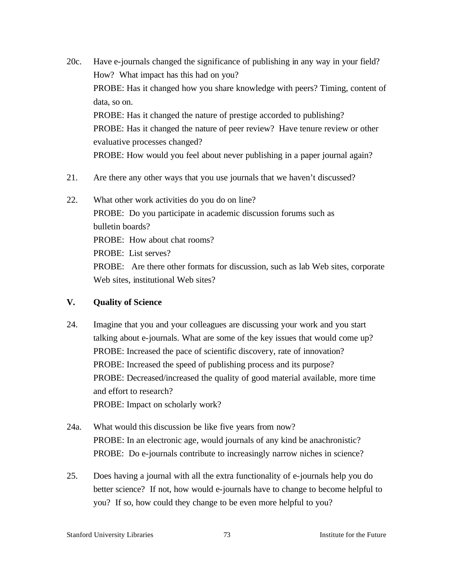- 20c. Have e-journals changed the significance of publishing in any way in your field? How? What impact has this had on you? PROBE: Has it changed how you share knowledge with peers? Timing, content of data, so on. PROBE: Has it changed the nature of prestige accorded to publishing? PROBE: Has it changed the nature of peer review? Have tenure review or other evaluative processes changed? PROBE: How would you feel about never publishing in a paper journal again?
- 21. Are there any other ways that you use journals that we haven't discussed?
- 22. What other work activities do you do on line? PROBE: Do you participate in academic discussion forums such as bulletin boards? PROBE: How about chat rooms? PROBE: List serves? PROBE: Are there other formats for discussion, such as lab Web sites, corporate Web sites, institutional Web sites?

## **V. Quality of Science**

- 24. Imagine that you and your colleagues are discussing your work and you start talking about e-journals. What are some of the key issues that would come up? PROBE: Increased the pace of scientific discovery, rate of innovation? PROBE: Increased the speed of publishing process and its purpose? PROBE: Decreased/increased the quality of good material available, more time and effort to research? PROBE: Impact on scholarly work?
- 24a. What would this discussion be like five years from now? PROBE: In an electronic age, would journals of any kind be anachronistic? PROBE: Do e-journals contribute to increasingly narrow niches in science?
- 25. Does having a journal with all the extra functionality of e-journals help you do better science? If not, how would e-journals have to change to become helpful to you? If so, how could they change to be even more helpful to you?